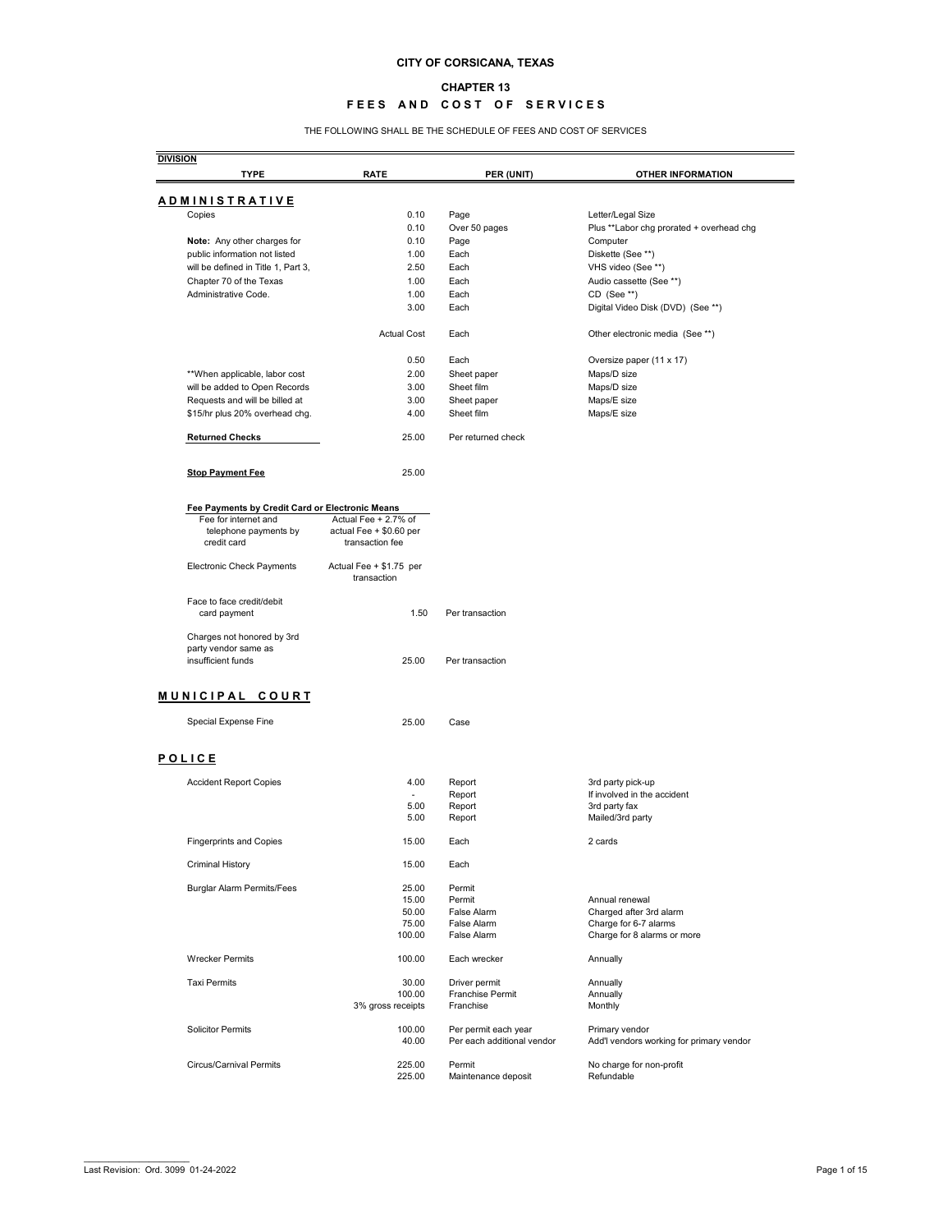#### **CHAPTER 13**

## **FEES AND COST OF SERVICES**

THE FOLLOWING SHALL BE THE SCHEDULE OF FEES AND COST OF SERVICES

| <b>DIVISION</b><br><b>TYPE</b>                                           | <b>RATE</b>                                | PER (UNIT)                                         | <b>OTHER INFORMATION</b>                                   |
|--------------------------------------------------------------------------|--------------------------------------------|----------------------------------------------------|------------------------------------------------------------|
|                                                                          |                                            |                                                    |                                                            |
| <b>ADMINISTRATIVE</b>                                                    |                                            |                                                    |                                                            |
| Copies                                                                   | 0.10                                       | Page                                               | Letter/Legal Size                                          |
| Note: Any other charges for                                              | 0.10<br>0.10                               | Over 50 pages<br>Page                              | Plus ** Labor chg prorated + overhead chg<br>Computer      |
| public information not listed                                            | 1.00                                       | Each                                               | Diskette (See **)                                          |
| will be defined in Title 1, Part 3,                                      | 2.50                                       | Each                                               | VHS video (See **)                                         |
| Chapter 70 of the Texas                                                  | 1.00                                       | Each                                               | Audio cassette (See **)                                    |
| Administrative Code.                                                     | 1.00                                       | Each                                               | CD (See **)                                                |
|                                                                          | 3.00                                       | Each                                               | Digital Video Disk (DVD) (See **)                          |
|                                                                          | <b>Actual Cost</b>                         | Each                                               | Other electronic media (See **)                            |
|                                                                          | 0.50                                       | Each                                               | Oversize paper (11 x 17)                                   |
| ** When applicable, labor cost                                           | 2.00                                       | Sheet paper                                        | Maps/D size                                                |
| will be added to Open Records                                            | 3.00                                       | Sheet film                                         | Maps/D size                                                |
| Requests and will be billed at                                           | 3.00                                       | Sheet paper                                        | Maps/E size                                                |
| \$15/hr plus 20% overhead chg.                                           | 4.00                                       | Sheet film                                         | Maps/E size                                                |
| <b>Returned Checks</b>                                                   | 25.00                                      | Per returned check                                 |                                                            |
| <b>Stop Payment Fee</b>                                                  | 25.00                                      |                                                    |                                                            |
|                                                                          |                                            |                                                    |                                                            |
| Fee Payments by Credit Card or Electronic Means<br>Fee for internet and  | Actual Fee $+2.7\%$ of                     |                                                    |                                                            |
| telephone payments by<br>credit card                                     | actual Fee + \$0.60 per<br>transaction fee |                                                    |                                                            |
| <b>Electronic Check Payments</b>                                         | Actual Fee + \$1.75 per<br>transaction     |                                                    |                                                            |
| Face to face credit/debit<br>card payment                                | 1.50                                       | Per transaction                                    |                                                            |
| Charges not honored by 3rd<br>party vendor same as<br>insufficient funds | 25.00                                      | Per transaction                                    |                                                            |
| MUNICIPAL COURT                                                          |                                            |                                                    |                                                            |
| Special Expense Fine                                                     | 25.00                                      | Case                                               |                                                            |
| POLICE                                                                   |                                            |                                                    |                                                            |
| <b>Accident Report Copies</b>                                            | 4.00                                       | Report                                             | 3rd party pick-up                                          |
|                                                                          |                                            | Report                                             | If involved in the accident                                |
|                                                                          | 5.00                                       | Report                                             | 3rd party fax                                              |
|                                                                          | 5.00                                       | Report                                             | Mailed/3rd party                                           |
| <b>Fingerprints and Copies</b>                                           | 15.00                                      | Each                                               | 2 cards                                                    |
| <b>Criminal History</b>                                                  | 15.00                                      | Each                                               |                                                            |
| <b>Burglar Alarm Permits/Fees</b>                                        | 25.00                                      | Permit                                             |                                                            |
|                                                                          | 15.00                                      | Permit                                             | Annual renewal                                             |
|                                                                          | 50.00                                      | False Alarm                                        | Charged after 3rd alarm                                    |
|                                                                          | 75.00<br>100.00                            | False Alarm<br><b>False Alarm</b>                  | Charge for 6-7 alarms                                      |
|                                                                          |                                            |                                                    | Charge for 8 alarms or more                                |
| <b>Wrecker Permits</b>                                                   | 100.00                                     | Each wrecker                                       | Annually                                                   |
| <b>Taxi Permits</b>                                                      | 30.00                                      | Driver permit                                      | Annually                                                   |
|                                                                          | 100.00<br>3% gross receipts                | <b>Franchise Permit</b><br>Franchise               | Annually<br>Monthly                                        |
| <b>Solicitor Permits</b>                                                 | 100.00<br>40.00                            | Per permit each year<br>Per each additional vendor | Primary vendor<br>Add'l vendors working for primary vendor |
| <b>Circus/Carnival Permits</b>                                           | 225.00                                     | Permit                                             | No charge for non-profit                                   |
|                                                                          | 225.00                                     | Maintenance deposit                                | Refundable                                                 |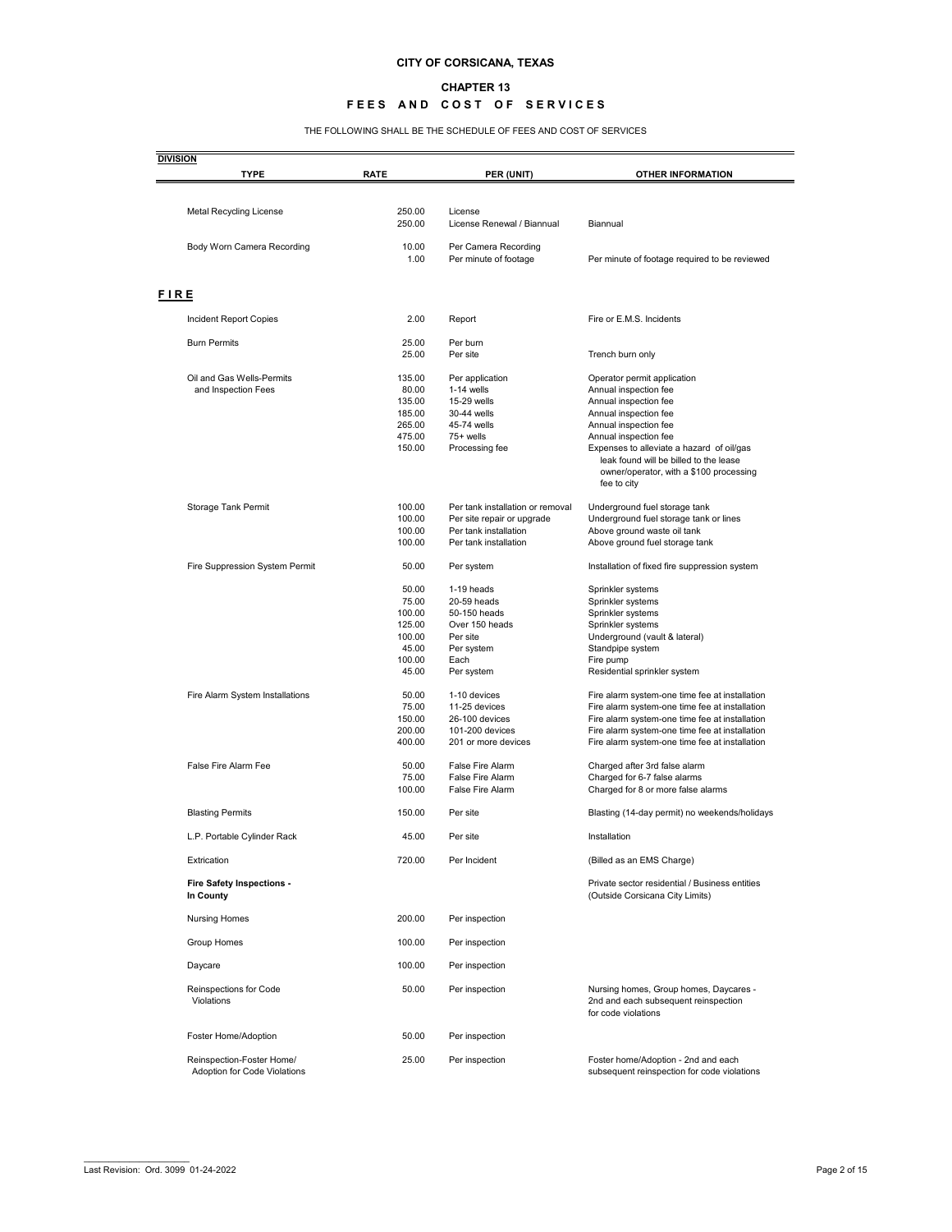#### **CHAPTER 13**

## **FEES AND COST OF SERVICES**

THE FOLLOWING SHALL BE THE SCHEDULE OF FEES AND COST OF SERVICES

| <b>DIVISION</b><br><b>TYPE</b>                | <b>RATE</b>      | PER (UNIT)                                    | <b>OTHER INFORMATION</b>                                                                         |
|-----------------------------------------------|------------------|-----------------------------------------------|--------------------------------------------------------------------------------------------------|
|                                               |                  |                                               |                                                                                                  |
| <b>Metal Recycling License</b>                | 250.00<br>250.00 | License<br>License Renewal / Biannual         | Biannual                                                                                         |
| Body Worn Camera Recording                    | 10.00<br>1.00    | Per Camera Recording<br>Per minute of footage | Per minute of footage required to be reviewed                                                    |
|                                               |                  |                                               |                                                                                                  |
| <b>FIRE</b>                                   |                  |                                               |                                                                                                  |
| Incident Report Copies                        | 2.00             | Report                                        | Fire or E.M.S. Incidents                                                                         |
| <b>Burn Permits</b>                           | 25.00            | Per burn                                      |                                                                                                  |
|                                               | 25.00            | Per site                                      | Trench burn only                                                                                 |
| Oil and Gas Wells-Permits                     | 135.00           | Per application                               | Operator permit application                                                                      |
| and Inspection Fees                           | 80.00<br>135.00  | $1-14$ wells<br>15-29 wells                   | Annual inspection fee                                                                            |
|                                               | 185.00           | 30-44 wells                                   | Annual inspection fee<br>Annual inspection fee                                                   |
|                                               | 265.00           | 45-74 wells                                   | Annual inspection fee                                                                            |
|                                               | 475.00           | 75+ wells                                     | Annual inspection fee                                                                            |
|                                               | 150.00           | Processing fee                                | Expenses to alleviate a hazard of oil/gas                                                        |
|                                               |                  |                                               | leak found will be billed to the lease                                                           |
|                                               |                  |                                               | owner/operator, with a \$100 processing                                                          |
|                                               |                  |                                               | fee to city                                                                                      |
| Storage Tank Permit                           | 100.00           | Per tank installation or removal              | Underground fuel storage tank                                                                    |
|                                               | 100.00           | Per site repair or upgrade                    | Underground fuel storage tank or lines                                                           |
|                                               | 100.00           | Per tank installation                         | Above ground waste oil tank                                                                      |
|                                               | 100.00           | Per tank installation                         | Above ground fuel storage tank                                                                   |
| Fire Suppression System Permit                | 50.00            | Per system                                    | Installation of fixed fire suppression system                                                    |
|                                               | 50.00            | 1-19 heads                                    | Sprinkler systems                                                                                |
|                                               | 75.00            | 20-59 heads                                   | Sprinkler systems                                                                                |
|                                               | 100.00           | 50-150 heads                                  | Sprinkler systems                                                                                |
|                                               | 125.00           | Over 150 heads                                | Sprinkler systems                                                                                |
|                                               | 100.00           | Per site                                      | Underground (vault & lateral)                                                                    |
|                                               | 45.00            | Per system                                    | Standpipe system                                                                                 |
|                                               | 100.00<br>45.00  | Each<br>Per system                            | Fire pump<br>Residential sprinkler system                                                        |
|                                               |                  |                                               |                                                                                                  |
| Fire Alarm System Installations               | 50.00            | 1-10 devices                                  | Fire alarm system-one time fee at installation                                                   |
|                                               | 75.00            | 11-25 devices                                 | Fire alarm system-one time fee at installation                                                   |
|                                               | 150.00           | 26-100 devices                                | Fire alarm system-one time fee at installation                                                   |
|                                               | 200.00<br>400.00 | 101-200 devices<br>201 or more devices        | Fire alarm system-one time fee at installation<br>Fire alarm system-one time fee at installation |
|                                               |                  |                                               |                                                                                                  |
| <b>False Fire Alarm Fee</b>                   | 50.00            | <b>False Fire Alarm</b>                       | Charged after 3rd false alarm                                                                    |
|                                               | 75.00<br>100.00  | False Fire Alarm<br><b>False Fire Alarm</b>   | Charged for 6-7 false alarms                                                                     |
|                                               |                  |                                               | Charged for 8 or more false alarms                                                               |
| <b>Blasting Permits</b>                       | 150.00           | Per site                                      | Blasting (14-day permit) no weekends/holidays                                                    |
| L.P. Portable Cylinder Rack                   | 45.00            | Per site                                      | Installation                                                                                     |
| Extrication                                   | 720.00           | Per Incident                                  | (Billed as an EMS Charge)                                                                        |
| <b>Fire Safety Inspections -</b><br>In County |                  |                                               | Private sector residential / Business entities<br>(Outside Corsicana City Limits)                |
| <b>Nursing Homes</b>                          | 200.00           | Per inspection                                |                                                                                                  |
| Group Homes                                   | 100.00           | Per inspection                                |                                                                                                  |
| Daycare                                       | 100.00           | Per inspection                                |                                                                                                  |
| Reinspections for Code<br>Violations          | 50.00            | Per inspection                                | Nursing homes, Group homes, Daycares -<br>2nd and each subsequent reinspection                   |
|                                               |                  |                                               | for code violations                                                                              |
| Foster Home/Adoption                          | 50.00            | Per inspection                                |                                                                                                  |
| Reinspection-Foster Home/                     | 25.00            | Per inspection                                | Foster home/Adoption - 2nd and each                                                              |
| Adoption for Code Violations                  |                  |                                               | subsequent reinspection for code violations                                                      |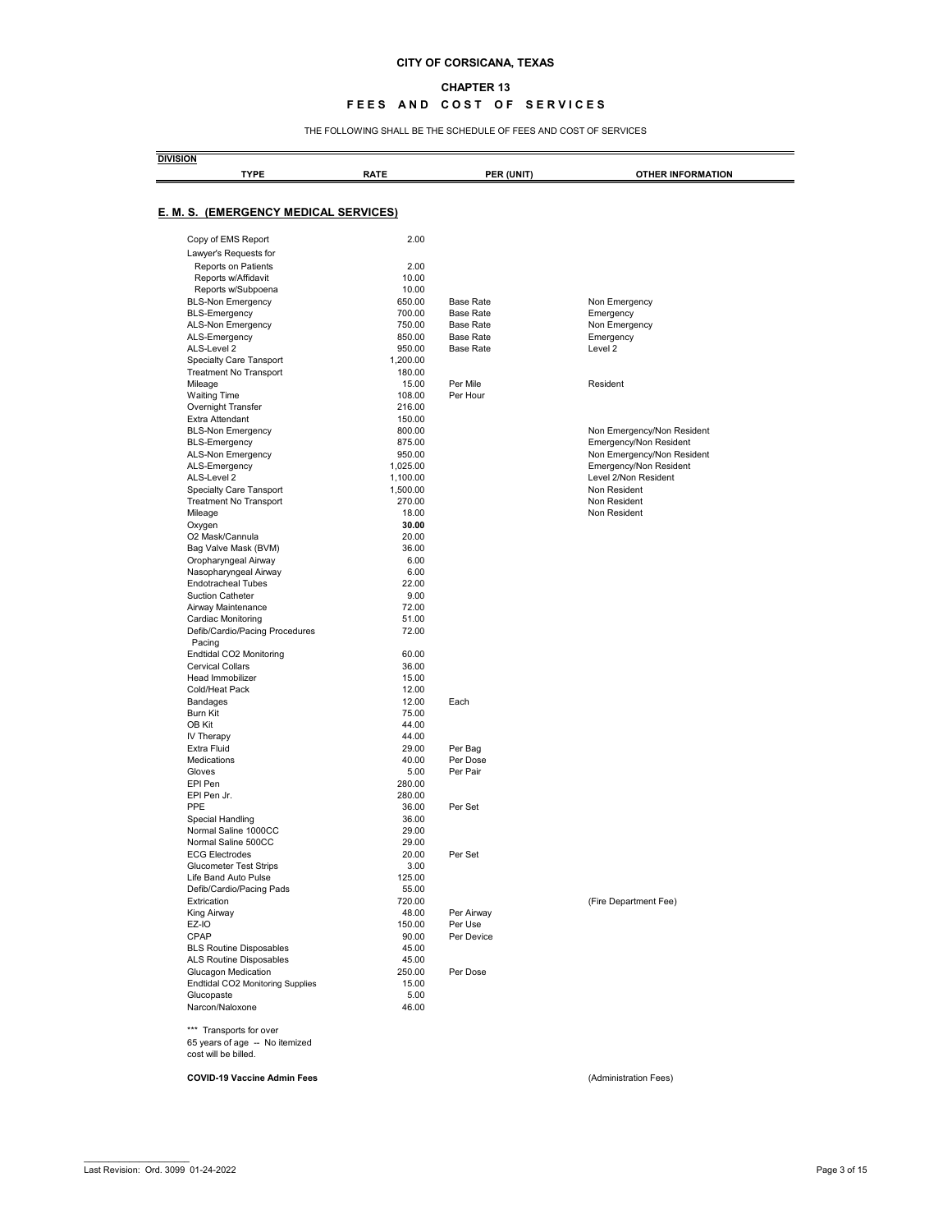#### **CHAPTER 13**

### **FEES AND COST OF SERVICES**

THE FOLLOWING SHALL BE THE SCHEDULE OF FEES AND COST OF SERVICES

| <b>TYPE</b>                                  | <b>RATE</b> | PER (UNIT)       | <b>OTHER INFORMATION</b>   |
|----------------------------------------------|-------------|------------------|----------------------------|
|                                              |             |                  |                            |
| <b>E. M. S. (EMERGENCY MEDICAL SERVICES)</b> |             |                  |                            |
| Copy of EMS Report                           | 2.00        |                  |                            |
| Lawyer's Requests for                        |             |                  |                            |
| <b>Reports on Patients</b>                   | 2.00        |                  |                            |
| Reports w/Affidavit                          | 10.00       |                  |                            |
| Reports w/Subpoena                           | 10.00       |                  |                            |
| <b>BLS-Non Emergency</b>                     | 650.00      | <b>Base Rate</b> | Non Emergency              |
| <b>BLS-Emergency</b>                         | 700.00      | <b>Base Rate</b> | Emergency                  |
| ALS-Non Emergency                            | 750.00      | <b>Base Rate</b> | Non Emergency              |
| ALS-Emergency                                | 850.00      | <b>Base Rate</b> | Emergency                  |
| ALS-Level 2                                  | 950.00      | <b>Base Rate</b> | Level 2                    |
| <b>Specialty Care Tansport</b>               | 1,200.00    |                  |                            |
| <b>Treatment No Transport</b>                | 180.00      |                  |                            |
| Mileage                                      | 15.00       | Per Mile         | Resident                   |
| <b>Waiting Time</b>                          | 108.00      | Per Hour         |                            |
| Overnight Transfer                           | 216.00      |                  |                            |
| Extra Attendant                              | 150.00      |                  |                            |
| <b>BLS-Non Emergency</b>                     | 800.00      |                  | Non Emergency/Non Resident |
| <b>BLS-Emergency</b>                         | 875.00      |                  | Emergency/Non Resident     |
| ALS-Non Emergency                            | 950.00      |                  | Non Emergency/Non Resident |
| ALS-Emergency                                | 1,025.00    |                  | Emergency/Non Resident     |
| ALS-Level 2                                  | 1,100.00    |                  | Level 2/Non Resident       |
| <b>Specialty Care Tansport</b>               | 1,500.00    |                  | Non Resident               |
| <b>Treatment No Transport</b>                | 270.00      |                  | Non Resident               |
|                                              | 18.00       |                  | Non Resident               |
| Mileage                                      | 30.00       |                  |                            |
| Oxygen                                       |             |                  |                            |
| O2 Mask/Cannula                              | 20.00       |                  |                            |
| Bag Valve Mask (BVM)                         | 36.00       |                  |                            |
| Oropharyngeal Airway                         | 6.00        |                  |                            |
| Nasopharyngeal Airway                        | 6.00        |                  |                            |
| <b>Endotracheal Tubes</b>                    | 22.00       |                  |                            |
| <b>Suction Catheter</b>                      | 9.00        |                  |                            |
| Airway Maintenance                           | 72.00       |                  |                            |
| Cardiac Monitoring                           | 51.00       |                  |                            |
| Defib/Cardio/Pacing Procedures               | 72.00       |                  |                            |
| Pacing                                       |             |                  |                            |
| Endtidal CO2 Monitoring                      | 60.00       |                  |                            |
| <b>Cervical Collars</b>                      | 36.00       |                  |                            |
| Head Immobilizer                             | 15.00       |                  |                            |
| Cold/Heat Pack                               | 12.00       |                  |                            |
| <b>Bandages</b>                              | 12.00       | Each             |                            |
| Burn Kit                                     | 75.00       |                  |                            |
| OB Kit                                       | 44.00       |                  |                            |
| IV Therapy                                   | 44.00       |                  |                            |
| <b>Extra Fluid</b>                           | 29.00       | Per Bag          |                            |
| Medications                                  | 40.00       | Per Dose         |                            |
| Gloves                                       | 5.00        | Per Pair         |                            |
| EPI Pen                                      | 280.00      |                  |                            |
| EPI Pen Jr.                                  | 280.00      |                  |                            |
| <b>PPE</b>                                   | 36.00       | Per Set          |                            |
| Special Handling                             | 36.00       |                  |                            |
| Normal Saline 1000CC                         | 29.00       |                  |                            |
| Normal Saline 500CC                          | 29.00       |                  |                            |
| <b>ECG Electrodes</b>                        | 20.00       | Per Set          |                            |
| <b>Glucometer Test Strips</b>                | 3.00        |                  |                            |
| Life Band Auto Pulse                         | 125.00      |                  |                            |
| Defib/Cardio/Pacing Pads                     | 55.00       |                  |                            |
|                                              |             |                  |                            |
| Extrication                                  | 720.00      |                  | (Fire Department Fee)      |
| King Airway                                  | 48.00       | Per Airway       |                            |
| EZ-IO                                        | 150.00      | Per Use          |                            |
| <b>CPAP</b>                                  | 90.00       | Per Device       |                            |
| <b>BLS Routine Disposables</b>               | 45.00       |                  |                            |
| ALS Routine Disposables                      | 45.00       |                  |                            |
| Glucagon Medication                          | 250.00      | Per Dose         |                            |
| <b>Endtidal CO2 Monitoring Supplies</b>      | 15.00       |                  |                            |
| Glucopaste                                   | 5.00        |                  |                            |
| Narcon/Naloxone                              | 46.00       |                  |                            |
| *** Transports for over                      |             |                  |                            |
| 65 years of age -- No itemized               |             |                  |                            |
| cost will be billed.                         |             |                  |                            |
|                                              |             |                  |                            |
| <b>COVID-19 Vaccine Admin Fees</b>           |             |                  | (Administration Fees)      |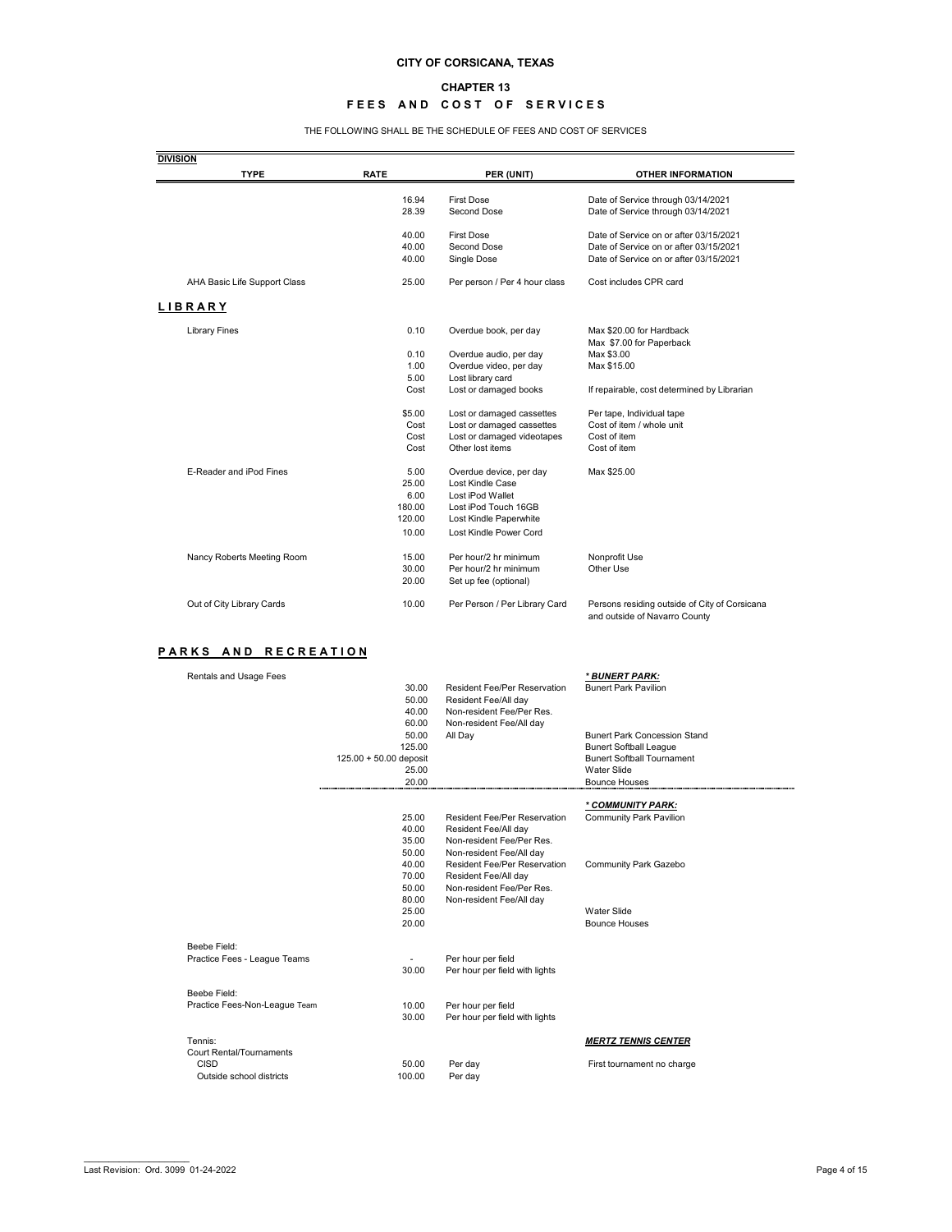#### **CHAPTER 13**

## **FEES AND COST OF SERVICES**

THE FOLLOWING SHALL BE THE SCHEDULE OF FEES AND COST OF SERVICES

| <b>DIVISION</b>                                |                        |                                                             |                                                     |
|------------------------------------------------|------------------------|-------------------------------------------------------------|-----------------------------------------------------|
| <b>TYPE</b>                                    | <b>RATE</b>            | PER (UNIT)                                                  | <b>OTHER INFORMATION</b>                            |
|                                                | 16.94                  | <b>First Dose</b>                                           | Date of Service through 03/14/2021                  |
|                                                | 28.39                  | Second Dose                                                 | Date of Service through 03/14/2021                  |
|                                                | 40.00                  | <b>First Dose</b>                                           | Date of Service on or after 03/15/2021              |
|                                                | 40.00                  | Second Dose                                                 | Date of Service on or after 03/15/2021              |
|                                                | 40.00                  | Single Dose                                                 | Date of Service on or after 03/15/2021              |
| AHA Basic Life Support Class                   | 25.00                  | Per person / Per 4 hour class                               | Cost includes CPR card                              |
| <b>LIBRARY</b>                                 |                        |                                                             |                                                     |
| <b>Library Fines</b>                           | 0.10                   | Overdue book, per day                                       | Max \$20.00 for Hardback                            |
|                                                |                        |                                                             | Max \$7.00 for Paperback                            |
|                                                | 0.10                   | Overdue audio, per day                                      | Max \$3.00                                          |
|                                                | 1.00                   | Overdue video, per day                                      | Max \$15.00                                         |
|                                                | 5.00                   | Lost library card                                           |                                                     |
|                                                | Cost                   | Lost or damaged books                                       | If repairable, cost determined by Librarian         |
|                                                | \$5.00                 | Lost or damaged cassettes                                   | Per tape, Individual tape                           |
|                                                | Cost                   | Lost or damaged cassettes                                   | Cost of item / whole unit                           |
|                                                | Cost                   | Lost or damaged videotapes                                  | Cost of item                                        |
|                                                | Cost                   | Other lost items                                            | Cost of item                                        |
| E-Reader and iPod Fines                        | 5.00                   | Overdue device, per day                                     | Max \$25.00                                         |
|                                                | 25.00                  | Lost Kindle Case                                            |                                                     |
|                                                | 6.00                   | Lost iPod Wallet                                            |                                                     |
|                                                | 180.00                 | Lost iPod Touch 16GB                                        |                                                     |
|                                                | 120.00                 | Lost Kindle Paperwhite                                      |                                                     |
|                                                | 10.00                  | Lost Kindle Power Cord                                      |                                                     |
| Nancy Roberts Meeting Room                     | 15.00                  | Per hour/2 hr minimum                                       | Nonprofit Use                                       |
|                                                | 30.00                  | Per hour/2 hr minimum                                       | Other Use                                           |
|                                                | 20.00                  | Set up fee (optional)                                       |                                                     |
|                                                |                        |                                                             |                                                     |
| Out of City Library Cards                      | 10.00                  | Per Person / Per Library Card                               | and outside of Navarro County                       |
| ARKS<br>A N D<br><b>RECREATION</b>             |                        |                                                             |                                                     |
| <b>Rentals and Usage Fees</b>                  |                        |                                                             | <u>* BUNERT PARK:</u>                               |
|                                                | 30.00<br>50.00         | <b>Resident Fee/Per Reservation</b><br>Resident Fee/All day | <b>Bunert Park Pavilion</b>                         |
|                                                | 40.00                  | Non-resident Fee/Per Res.                                   |                                                     |
|                                                | 60.00                  | Non-resident Fee/All day                                    |                                                     |
|                                                | 50.00                  | All Day                                                     | <b>Bunert Park Concession Stand</b>                 |
|                                                | 125.00                 |                                                             | <b>Bunert Softball League</b>                       |
|                                                | 125.00 + 50.00 deposit |                                                             | <b>Bunert Softball Tournament</b>                   |
|                                                | 25.00<br>20.00         |                                                             | Water Slide<br><b>Bounce Houses</b>                 |
|                                                |                        |                                                             |                                                     |
|                                                | 25.00                  | <b>Resident Fee/Per Reservation</b>                         | * COMMUNITY PARK:<br><b>Community Park Pavilion</b> |
|                                                | 40.00                  | Resident Fee/All day                                        |                                                     |
|                                                | 35.00                  | Non-resident Fee/Per Res.                                   |                                                     |
|                                                | 50.00                  | Non-resident Fee/All day                                    |                                                     |
|                                                | 40.00                  | <b>Resident Fee/Per Reservation</b>                         | <b>Community Park Gazebo</b>                        |
|                                                | 70.00                  | Resident Fee/All day                                        |                                                     |
|                                                | 50.00                  | Non-resident Fee/Per Res.                                   | Persons residing outside of City of Corsicana       |
|                                                | 80.00                  | Non-resident Fee/All day                                    |                                                     |
|                                                | 25.00<br>20.00         |                                                             | <b>Water Slide</b><br><b>Bounce Houses</b>          |
|                                                |                        |                                                             |                                                     |
| Beebe Field:                                   |                        |                                                             |                                                     |
| Practice Fees - League Teams                   | 30.00                  | Per hour per field<br>Per hour per field with lights        |                                                     |
|                                                |                        |                                                             |                                                     |
| Beebe Field:                                   |                        |                                                             |                                                     |
| Practice Fees-Non-League Team                  | 10.00<br>30.00         | Per hour per field                                          |                                                     |
|                                                |                        | Per hour per field with lights                              |                                                     |
| Tennis:                                        |                        |                                                             | <b>MERTZ TENNIS CENTER</b>                          |
| <b>Court Rental/Tournaments</b><br><b>CISD</b> | 50.00                  | Per day                                                     | First tournament no charge                          |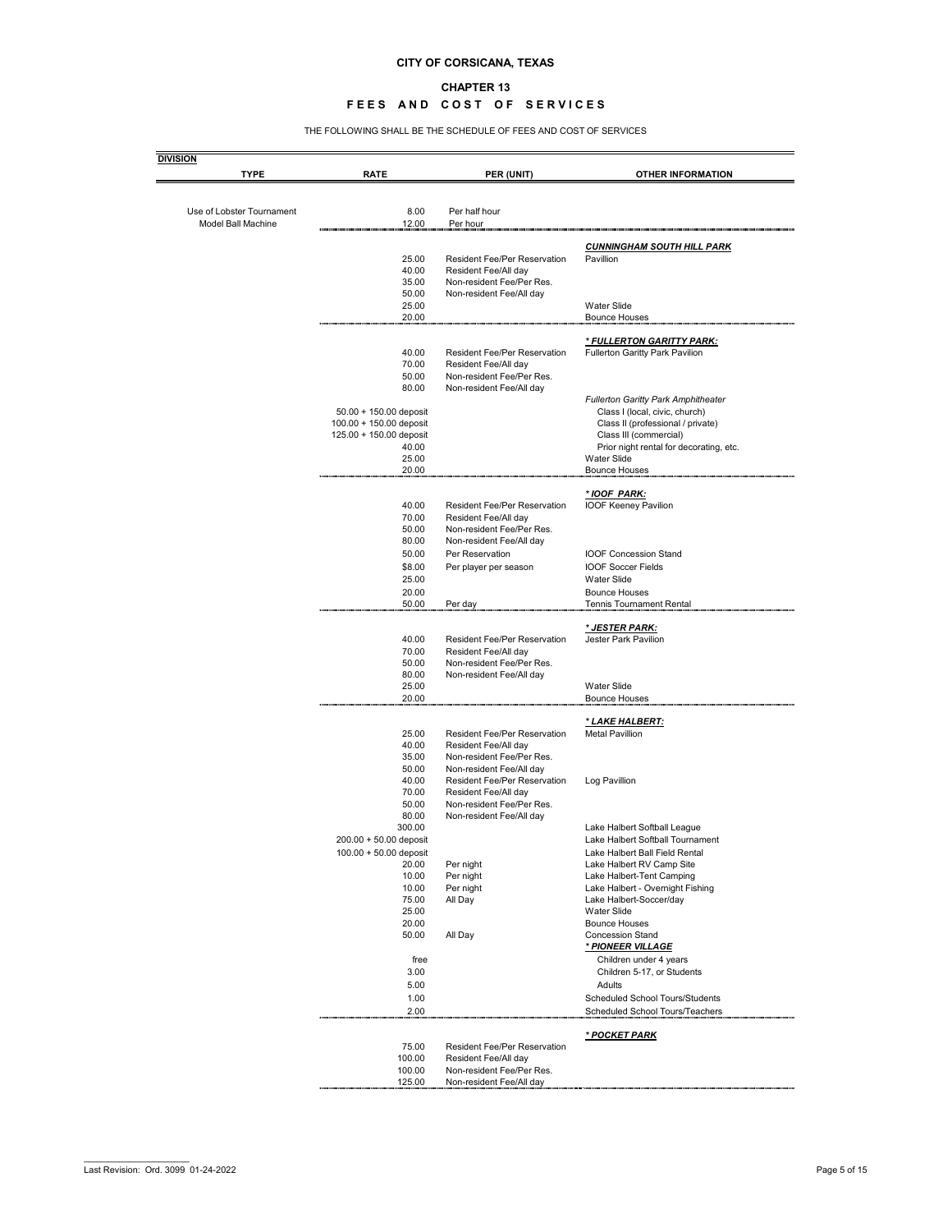#### **CHAPTER 13**

### FEES AND COST OF SERVICES

THE FOLLOWING SHALL BE THE SCHEDULE OF FEES AND COST OF SERVICES

| <b>DIVISION</b>           |                                                   |                                                             |                                                                     |
|---------------------------|---------------------------------------------------|-------------------------------------------------------------|---------------------------------------------------------------------|
| <b>TYPE</b>               | <b>RATE</b>                                       | PER (UNIT)                                                  | <b>OTHER INFORMATION</b>                                            |
|                           |                                                   |                                                             |                                                                     |
| Use of Lobster Tournament | 8.00                                              | Per half hour                                               |                                                                     |
| <b>Model Ball Machine</b> | 12.00                                             | Per hour                                                    |                                                                     |
|                           |                                                   |                                                             | <b>CUNNINGHAM SOUTH HILL PARK</b>                                   |
|                           | 25.00                                             | <b>Resident Fee/Per Reservation</b>                         | Pavillion                                                           |
|                           | 40.00                                             | Resident Fee/All day                                        |                                                                     |
|                           | 35.00                                             | Non-resident Fee/Per Res.                                   |                                                                     |
|                           | 50.00                                             | Non-resident Fee/All day                                    |                                                                     |
|                           | 25.00                                             |                                                             | <b>Water Slide</b>                                                  |
|                           | 20.00                                             |                                                             | <b>Bounce Houses</b>                                                |
|                           |                                                   |                                                             | <u>* FULLERTON GARITTY PARK:</u>                                    |
|                           | 40.00                                             | <b>Resident Fee/Per Reservation</b>                         | <b>Fullerton Garitty Park Pavilion</b>                              |
|                           | 70.00                                             | Resident Fee/All day                                        |                                                                     |
|                           | 50.00                                             | Non-resident Fee/Per Res.                                   |                                                                     |
|                           | 80.00                                             | Non-resident Fee/All day                                    |                                                                     |
|                           |                                                   |                                                             | <b>Fullerton Garitty Park Amphitheater</b>                          |
|                           | 50.00 + 150.00 deposit<br>100.00 + 150.00 deposit |                                                             | Class I (local, civic, church)<br>Class II (professional / private) |
|                           | 125.00 + 150.00 deposit                           |                                                             | Class III (commercial)                                              |
|                           | 40.00                                             |                                                             | Prior night rental for decorating, etc.                             |
|                           | 25.00                                             |                                                             | <b>Water Slide</b>                                                  |
|                           | 20.00                                             |                                                             | <b>Bounce Houses</b>                                                |
|                           |                                                   |                                                             |                                                                     |
|                           |                                                   |                                                             | * IOOF PARK:                                                        |
|                           | 40.00<br>70.00                                    | <b>Resident Fee/Per Reservation</b><br>Resident Fee/All day | IOOF Keeney Pavilion                                                |
|                           | 50.00                                             | Non-resident Fee/Per Res.                                   |                                                                     |
|                           | 80.00                                             | Non-resident Fee/All day                                    |                                                                     |
|                           | 50.00                                             | Per Reservation                                             | <b>IOOF Concession Stand</b>                                        |
|                           | \$8.00                                            | Per player per season                                       | <b>IOOF Soccer Fields</b>                                           |
|                           | 25.00                                             |                                                             | <b>Water Slide</b>                                                  |
|                           | 20.00                                             |                                                             | <b>Bounce Houses</b>                                                |
|                           | 50.00                                             | Per day                                                     | <b>Tennis Tournament Rental</b>                                     |
|                           |                                                   |                                                             |                                                                     |
|                           | 40.00                                             | <b>Resident Fee/Per Reservation</b>                         | <u>* JESTER PARK:</u><br><b>Jester Park Pavilion</b>                |
|                           | 70.00                                             | Resident Fee/All day                                        |                                                                     |
|                           | 50.00                                             | Non-resident Fee/Per Res.                                   |                                                                     |
|                           | 80.00                                             | Non-resident Fee/All day                                    |                                                                     |
|                           | 25.00                                             |                                                             | <b>Water Slide</b>                                                  |
|                           | 20.00                                             |                                                             | <b>Bounce Houses</b>                                                |
|                           |                                                   |                                                             | * LAKE HALBERT:                                                     |
|                           | 25.00                                             | <b>Resident Fee/Per Reservation</b>                         | <b>Metal Pavillion</b>                                              |
|                           | 40.00                                             | Resident Fee/All day                                        |                                                                     |
|                           | 35.00                                             | Non-resident Fee/Per Res.                                   |                                                                     |
|                           | 50.00                                             | Non-resident Fee/All day                                    |                                                                     |
|                           | 40.00                                             | <b>Resident Fee/Per Reservation</b>                         | Log Pavillion                                                       |
|                           | 70.00                                             | Resident Fee/All day                                        |                                                                     |
|                           | 50.00                                             | Non-resident Fee/Per Res.                                   |                                                                     |
|                           | 80.00<br>300.00                                   | Non-resident Fee/All day                                    |                                                                     |
|                           | 200.00 + 50.00 deposit                            |                                                             | Lake Halbert Softball League<br>Lake Halbert Softball Tournament    |
|                           | $100.00 + 50.00$ deposit                          |                                                             | Lake Halbert Ball Field Rental                                      |
|                           | 20.00                                             | Per night                                                   | Lake Halbert RV Camp Site                                           |
|                           | 10.00                                             | Per night                                                   | Lake Halbert-Tent Camping                                           |
|                           | 10.00                                             | Per night                                                   | Lake Halbert - Overnight Fishing                                    |
|                           | 75.00                                             | All Day                                                     | Lake Halbert-Soccer/day                                             |
|                           | 25.00                                             |                                                             | <b>Water Slide</b>                                                  |
|                           | 20.00                                             |                                                             | <b>Bounce Houses</b>                                                |
|                           | 50.00                                             | All Day                                                     | <b>Concession Stand</b>                                             |
|                           | free                                              |                                                             | <u>* PIONEER VILLAGE</u>                                            |
|                           | 3.00                                              |                                                             | Children under 4 years<br>Children 5-17, or Students                |
|                           | 5.00                                              |                                                             | Adults                                                              |
|                           | 1.00                                              |                                                             | <b>Scheduled School Tours/Students</b>                              |
|                           | 2.00                                              |                                                             | Scheduled School Tours/Teachers                                     |
|                           |                                                   |                                                             |                                                                     |
|                           |                                                   |                                                             | * POCKET PARK                                                       |
|                           | 75.00                                             | <b>Resident Fee/Per Reservation</b>                         |                                                                     |
|                           | 100.00                                            | Resident Fee/All day                                        |                                                                     |
|                           | 100.00                                            | Non-resident Fee/Per Res.                                   |                                                                     |
|                           | 125.00                                            | Non-resident Fee/All day                                    |                                                                     |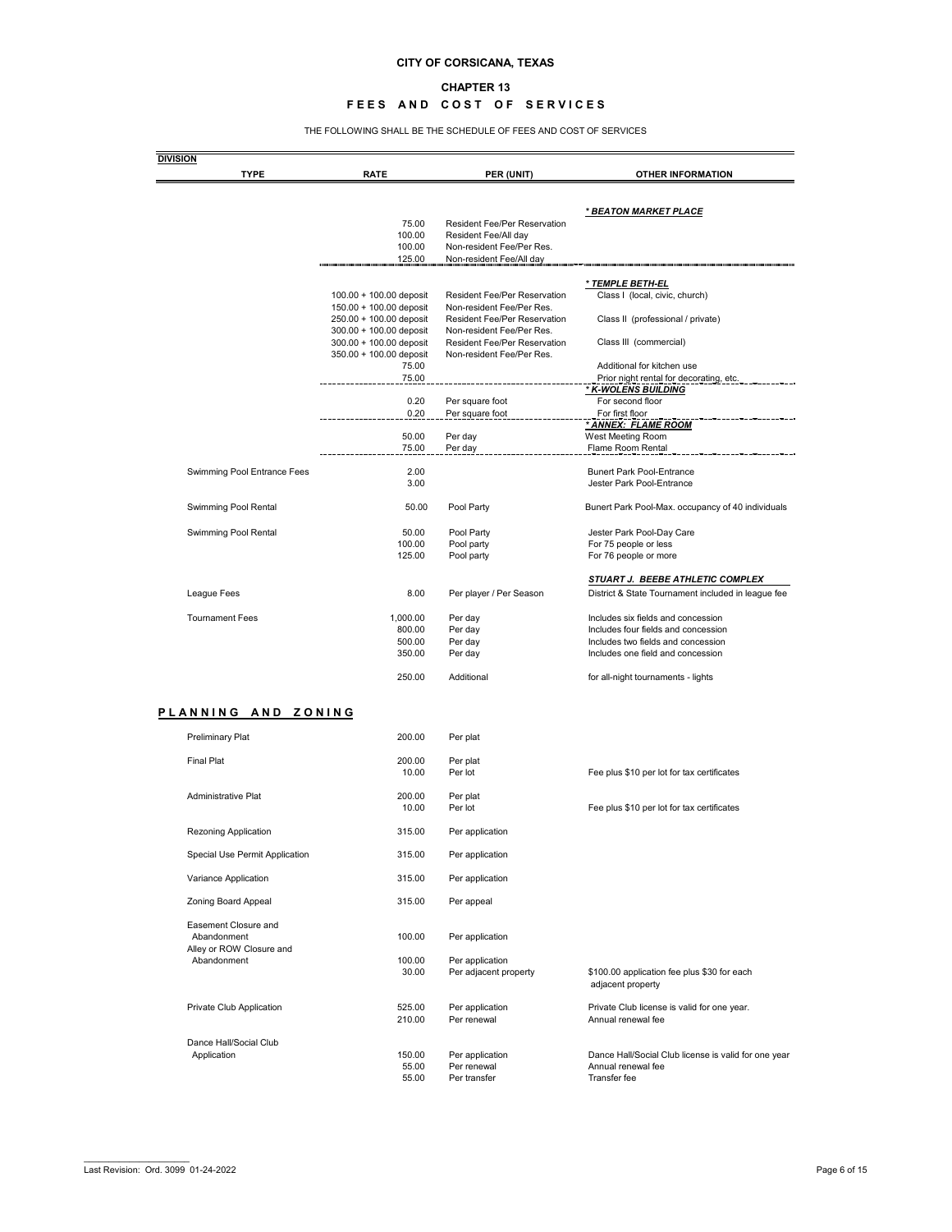### **CHAPTER 13**

## **FEES AND COST OF SERVICES**

THE FOLLOWING SHALL BE THE SCHEDULE OF FEES AND COST OF SERVICES

|                                                | <b>RATE</b>                                        | PER (UNIT)                                                       | <b>OTHER INFORMATION</b>                                                   |
|------------------------------------------------|----------------------------------------------------|------------------------------------------------------------------|----------------------------------------------------------------------------|
|                                                |                                                    |                                                                  |                                                                            |
|                                                | 75.00                                              | <b>Resident Fee/Per Reservation</b>                              | <u>* BEATON MARKET PLACE</u>                                               |
|                                                | 100.00                                             | Resident Fee/All day                                             |                                                                            |
|                                                | 100.00                                             | Non-resident Fee/Per Res.                                        |                                                                            |
|                                                | 125.00                                             | Non-resident Fee/All day                                         |                                                                            |
|                                                |                                                    |                                                                  | <u>* TEMPLE BETH-EL</u>                                                    |
|                                                | 100.00 + 100.00 deposit                            | <b>Resident Fee/Per Reservation</b><br>Non-resident Fee/Per Res. | Class I (local, civic, church)                                             |
|                                                | 150.00 + 100.00 deposit<br>250.00 + 100.00 deposit | <b>Resident Fee/Per Reservation</b>                              | Class II (professional / private)                                          |
|                                                | 300.00 + 100.00 deposit                            | Non-resident Fee/Per Res.                                        |                                                                            |
|                                                | 300.00 + 100.00 deposit                            | <b>Resident Fee/Per Reservation</b>                              | Class III (commercial)                                                     |
|                                                | 350.00 + 100.00 deposit                            | Non-resident Fee/Per Res.                                        |                                                                            |
|                                                | 75.00<br>75.00                                     |                                                                  | Additional for kitchen use<br>Prior night rental for decorating, etc.      |
|                                                |                                                    |                                                                  | * K-WOLENS BUILDING                                                        |
|                                                | 0.20                                               | Per square foot                                                  | For second floor                                                           |
|                                                | 0.20                                               | Per square foot                                                  | For first floor<br>* ANNEX: FLAME ROOM                                     |
|                                                | 50.00                                              | Per day                                                          | West Meeting Room                                                          |
|                                                | 75.00                                              | Per day                                                          | Flame Room Rental                                                          |
| Swimming Pool Entrance Fees                    | 2.00                                               |                                                                  | <b>Bunert Park Pool-Entrance</b>                                           |
|                                                | 3.00                                               |                                                                  | Jester Park Pool-Entrance                                                  |
| Swimming Pool Rental                           | 50.00                                              | Pool Party                                                       | Bunert Park Pool-Max. occupancy of 40 individuals                          |
| Swimming Pool Rental                           | 50.00                                              | Pool Party                                                       | Jester Park Pool-Day Care                                                  |
|                                                | 100.00                                             | Pool party                                                       | For 75 people or less                                                      |
|                                                | 125.00                                             | Pool party                                                       | For 76 people or more                                                      |
|                                                |                                                    |                                                                  | STUART J. BEEBE ATHLETIC COMPLEX                                           |
| League Fees                                    | 8.00                                               | Per player / Per Season                                          | District & State Tournament included in league fee                         |
| <b>Tournament Fees</b>                         | 1,000.00                                           | Per day                                                          | Includes six fields and concession                                         |
|                                                | 800.00                                             | Per day                                                          | Includes four fields and concession                                        |
|                                                | 500.00<br>350.00                                   | Per day<br>Per day                                               | Includes two fields and concession                                         |
|                                                |                                                    |                                                                  | Includes one field and concession                                          |
|                                                |                                                    |                                                                  |                                                                            |
|                                                | 250.00                                             | Additional                                                       | for all-night tournaments - lights                                         |
|                                                |                                                    |                                                                  |                                                                            |
| PLANNING AND ZONING<br><b>Preliminary Plat</b> | 200.00                                             | Per plat                                                         |                                                                            |
|                                                |                                                    |                                                                  |                                                                            |
| <b>Final Plat</b>                              | 200.00<br>10.00                                    | Per plat<br>Per lot                                              | Fee plus \$10 per lot for tax certificates                                 |
|                                                |                                                    |                                                                  |                                                                            |
| Administrative Plat                            | 200.00<br>10.00                                    | Per plat<br>Per lot                                              | Fee plus \$10 per lot for tax certificates                                 |
| <b>Rezoning Application</b>                    | 315.00                                             | Per application                                                  |                                                                            |
| Special Use Permit Application                 | 315.00                                             | Per application                                                  |                                                                            |
| Variance Application                           | 315.00                                             | Per application                                                  |                                                                            |
| Zoning Board Appeal                            | 315.00                                             | Per appeal                                                       |                                                                            |
| Easement Closure and                           |                                                    |                                                                  |                                                                            |
| Abandonment                                    | 100.00                                             | Per application                                                  |                                                                            |
| Alley or ROW Closure and<br>Abandonment        | 100.00                                             |                                                                  |                                                                            |
|                                                | 30.00                                              | Per application<br>Per adjacent property                         | \$100.00 application fee plus \$30 for each<br>adjacent property           |
| Private Club Application                       | 525.00                                             | Per application                                                  | Private Club license is valid for one year.                                |
|                                                | 210.00                                             | Per renewal                                                      | Annual renewal fee                                                         |
| Dance Hall/Social Club                         |                                                    |                                                                  |                                                                            |
| Application                                    | 150.00<br>55.00                                    | Per application<br>Per renewal                                   | Dance Hall/Social Club license is valid for one year<br>Annual renewal fee |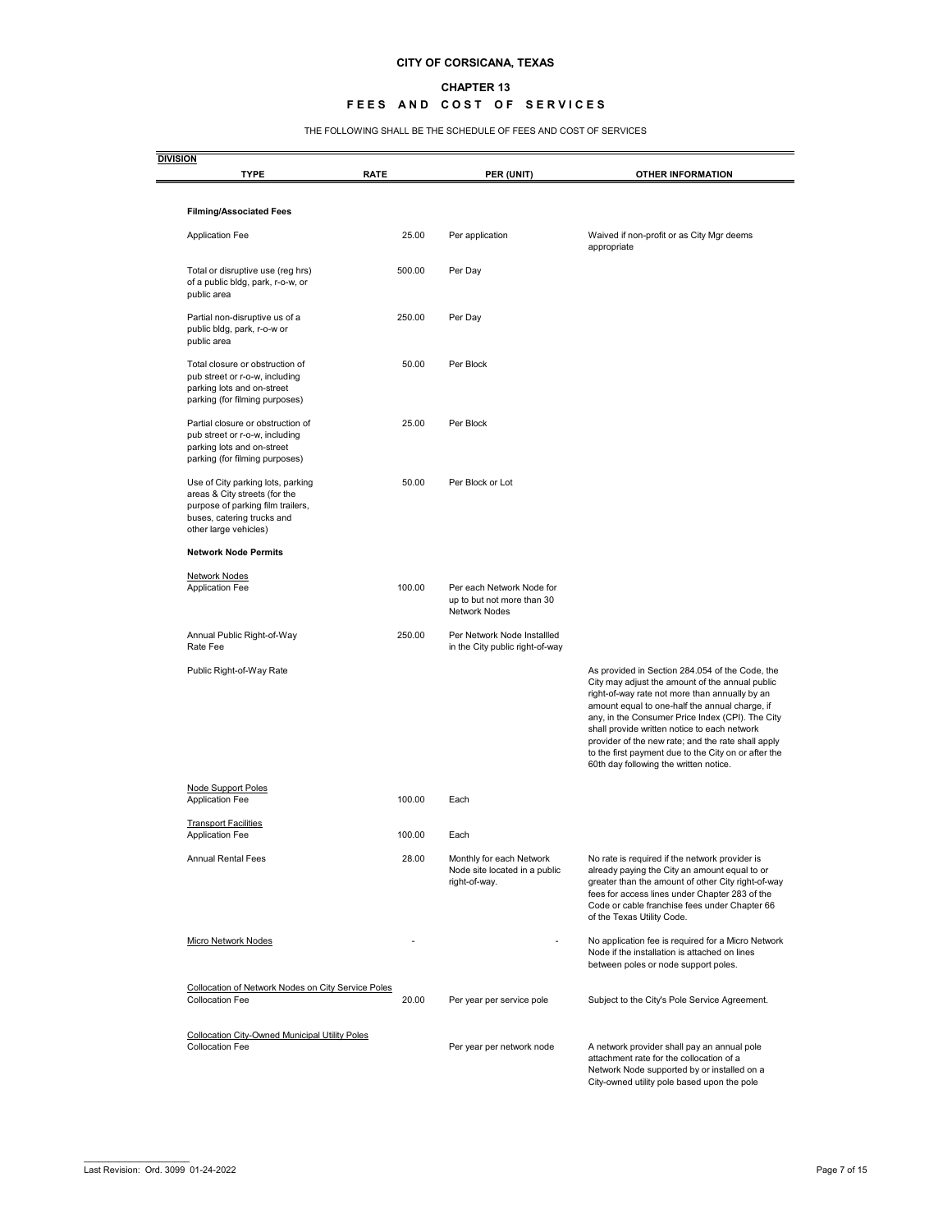#### **CHAPTER 13**

### **FEES AND COST OF SERVICES**

THE FOLLOWING SHALL BE THE SCHEDULE OF FEES AND COST OF SERVICES

| <b>TYPE</b>                                                                                                                                                    | <b>RATE</b> | PER (UNIT)                                                                      | <b>OTHER INFORMATION</b>                                                                                                                                                                                                                                                                                                                                                                                                                                           |
|----------------------------------------------------------------------------------------------------------------------------------------------------------------|-------------|---------------------------------------------------------------------------------|--------------------------------------------------------------------------------------------------------------------------------------------------------------------------------------------------------------------------------------------------------------------------------------------------------------------------------------------------------------------------------------------------------------------------------------------------------------------|
| <b>Filming/Associated Fees</b>                                                                                                                                 |             |                                                                                 |                                                                                                                                                                                                                                                                                                                                                                                                                                                                    |
| <b>Application Fee</b>                                                                                                                                         | 25.00       | Per application                                                                 | Waived if non-profit or as City Mgr deems<br>appropriate                                                                                                                                                                                                                                                                                                                                                                                                           |
| Total or disruptive use (reg hrs)<br>of a public bldg, park, r-o-w, or<br>public area                                                                          | 500.00      | Per Day                                                                         |                                                                                                                                                                                                                                                                                                                                                                                                                                                                    |
| Partial non-disruptive us of a<br>public bldg, park, r-o-w or<br>public area                                                                                   | 250.00      | Per Day                                                                         |                                                                                                                                                                                                                                                                                                                                                                                                                                                                    |
| Total closure or obstruction of<br>pub street or r-o-w, including<br>parking lots and on-street<br>parking (for filming purposes)                              | 50.00       | Per Block                                                                       |                                                                                                                                                                                                                                                                                                                                                                                                                                                                    |
| Partial closure or obstruction of<br>pub street or r-o-w, including<br>parking lots and on-street<br>parking (for filming purposes)                            | 25.00       | Per Block                                                                       |                                                                                                                                                                                                                                                                                                                                                                                                                                                                    |
| Use of City parking lots, parking<br>areas & City streets (for the<br>purpose of parking film trailers,<br>buses, catering trucks and<br>other large vehicles) | 50.00       | Per Block or Lot                                                                |                                                                                                                                                                                                                                                                                                                                                                                                                                                                    |
| <b>Network Node Permits</b>                                                                                                                                    |             |                                                                                 |                                                                                                                                                                                                                                                                                                                                                                                                                                                                    |
| Network Nodes<br><b>Application Fee</b>                                                                                                                        | 100.00      | Per each Network Node for<br>up to but not more than 30<br><b>Network Nodes</b> |                                                                                                                                                                                                                                                                                                                                                                                                                                                                    |
| Annual Public Right-of-Way<br>Rate Fee                                                                                                                         | 250.00      | Per Network Node Installled<br>in the City public right-of-way                  |                                                                                                                                                                                                                                                                                                                                                                                                                                                                    |
| Public Right-of-Way Rate                                                                                                                                       |             |                                                                                 | As provided in Section 284.054 of the Code, the<br>City may adjust the amount of the annual public<br>right-of-way rate not more than annually by an<br>amount equal to one-half the annual charge, if<br>any, in the Consumer Price Index (CPI). The City<br>shall provide written notice to each network<br>provider of the new rate; and the rate shall apply<br>to the first payment due to the City on or after the<br>60th day following the written notice. |
| <b>Node Support Poles</b><br><b>Application Fee</b>                                                                                                            | 100.00      | Each                                                                            |                                                                                                                                                                                                                                                                                                                                                                                                                                                                    |
| <b>Transport Facilities</b><br><b>Application Fee</b>                                                                                                          | 100.00      | Each                                                                            |                                                                                                                                                                                                                                                                                                                                                                                                                                                                    |
| <b>Annual Rental Fees</b>                                                                                                                                      | 28.00       | Monthly for each Network<br>Node site located in a public<br>right-of-way.      | No rate is required if the network provider is<br>already paying the City an amount equal to or<br>greater than the amount of other City right-of-way<br>fees for access lines under Chapter 283 of the<br>Code or cable franchise fees under Chapter 66<br>of the Texas Utility Code.                                                                                                                                                                             |
| Micro Network Nodes                                                                                                                                            |             |                                                                                 | No application fee is required for a Micro Network<br>Node if the installation is attached on lines<br>between poles or node support poles.                                                                                                                                                                                                                                                                                                                        |
| Collocation of Network Nodes on City Service Poles<br><b>Collocation Fee</b>                                                                                   | 20.00       | Per year per service pole                                                       | Subject to the City's Pole Service Agreement.                                                                                                                                                                                                                                                                                                                                                                                                                      |
| <b>Collocation City-Owned Municipal Utility Poles</b><br><b>Collocation Fee</b>                                                                                |             | Per year per network node                                                       | A network provider shall pay an annual pole<br>attachment rate for the collocation of a                                                                                                                                                                                                                                                                                                                                                                            |

 $\overline{\phantom{a}}$  , where  $\overline{\phantom{a}}$  , where  $\overline{\phantom{a}}$  , where  $\overline{\phantom{a}}$ 

City-owned utility pole based upon the pole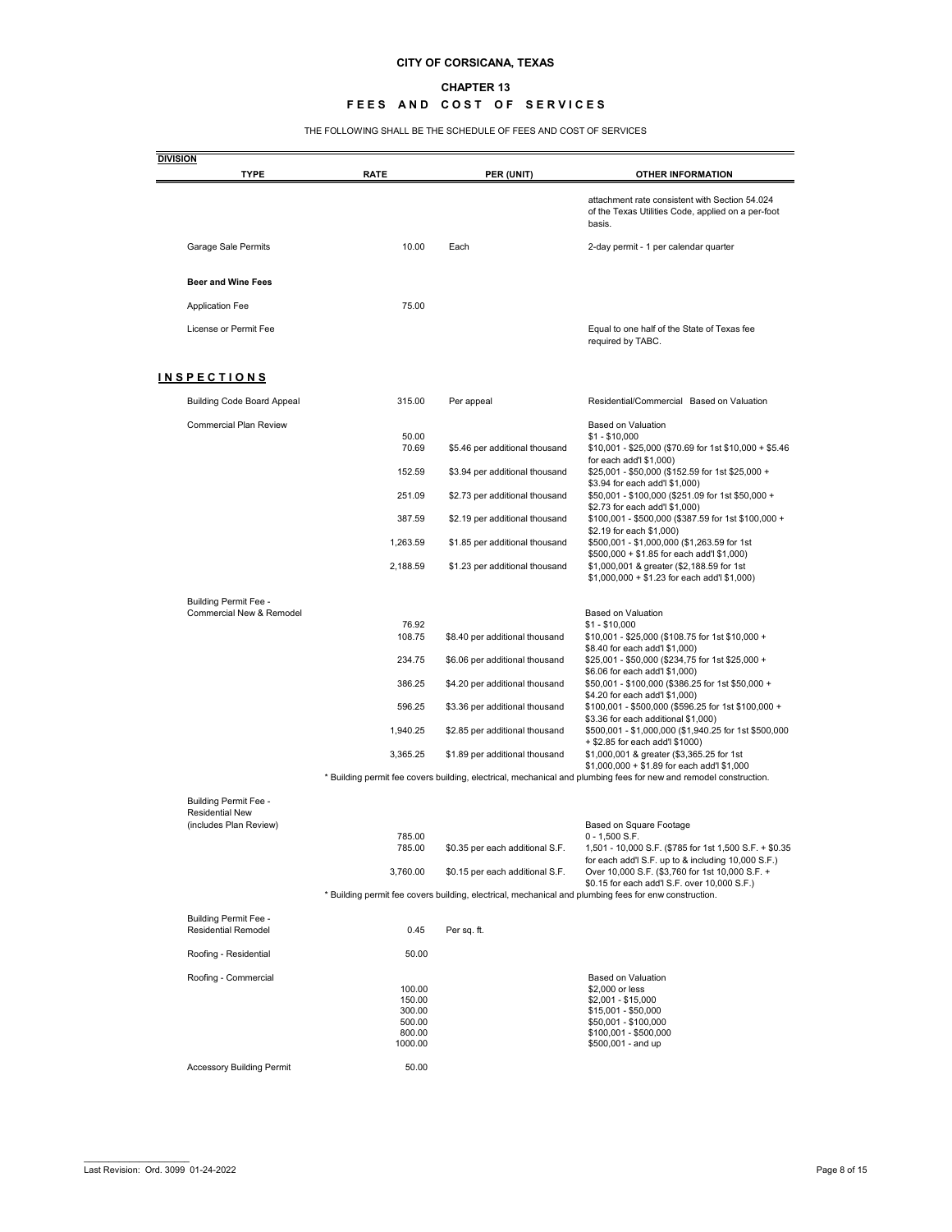### **CHAPTER 13**

## **FEES AND COST OF SERVICES**

THE FOLLOWING SHALL BE THE SCHEDULE OF FEES AND COST OF SERVICES

| <b>DIVISION</b><br><b>TYPE</b>                             | <b>RATE</b>      | PER (UNIT)                      | <b>OTHER INFORMATION</b>                                                                                          |
|------------------------------------------------------------|------------------|---------------------------------|-------------------------------------------------------------------------------------------------------------------|
|                                                            |                  |                                 | attachment rate consistent with Section 54.024                                                                    |
|                                                            |                  |                                 | of the Texas Utilities Code, applied on a per-foot<br>basis.                                                      |
| Garage Sale Permits                                        | 10.00            | Each                            | 2-day permit - 1 per calendar quarter                                                                             |
| <b>Beer and Wine Fees</b>                                  |                  |                                 |                                                                                                                   |
| <b>Application Fee</b>                                     | 75.00            |                                 |                                                                                                                   |
| License or Permit Fee                                      |                  |                                 | Equal to one half of the State of Texas fee<br>required by TABC.                                                  |
| <b>INSPECTIONS</b>                                         |                  |                                 |                                                                                                                   |
| <b>Building Code Board Appeal</b>                          | 315.00           | Per appeal                      | Residential/Commercial Based on Valuation                                                                         |
| <b>Commercial Plan Review</b>                              | 50.00            |                                 | <b>Based on Valuation</b>                                                                                         |
|                                                            | 70.69            | \$5.46 per additional thousand  | $$1 - $10,000$<br>\$10,001 - \$25,000 (\$70.69 for 1st \$10,000 + \$5.46<br>for each add'l $$1,000$ )             |
|                                                            | 152.59           | \$3.94 per additional thousand  | \$25,001 - \$50,000 (\$152.59 for 1st \$25,000 +<br>\$3.94 for each add'l \$1,000)                                |
|                                                            | 251.09           | \$2.73 per additional thousand  | \$50,001 - \$100,000 (\$251.09 for 1st \$50,000 +<br>\$2.73 for each add'l \$1,000)                               |
|                                                            | 387.59           | \$2.19 per additional thousand  | \$100,001 - \$500,000 (\$387.59 for 1st \$100,000 +<br>\$2.19 for each \$1,000)                                   |
|                                                            | 1,263.59         | \$1.85 per additional thousand  | \$500,001 - \$1,000,000 (\$1,263.59 for 1st<br>\$500,000 + \$1.85 for each add'l \$1,000)                         |
|                                                            | 2,188.59         | \$1.23 per additional thousand  | \$1,000,001 & greater (\$2,188.59 for 1st<br>$$1,000,000 + $1.23$ for each add'l \$1,000)                         |
| <b>Building Permit Fee -</b>                               |                  |                                 |                                                                                                                   |
| <b>Commercial New &amp; Remodel</b>                        | 76.92            |                                 | <b>Based on Valuation</b><br>$$1 - $10,000$                                                                       |
|                                                            | 108.75           | \$8.40 per additional thousand  | \$10,001 - \$25,000 (\$108.75 for 1st \$10,000 +<br>\$8.40 for each add'l \$1,000)                                |
|                                                            | 234.75           | \$6.06 per additional thousand  | \$25,001 - \$50,000 (\$234,75 for 1st \$25,000 +<br>\$6.06 for each add'l \$1,000)                                |
|                                                            | 386.25           | \$4.20 per additional thousand  | \$50,001 - \$100,000 (\$386.25 for 1st \$50,000 +<br>\$4.20 for each add'l \$1,000)                               |
|                                                            | 596.25           | \$3.36 per additional thousand  | \$100,001 - \$500,000 (\$596.25 for 1st \$100,000 +<br>\$3.36 for each additional \$1,000)                        |
|                                                            | 1,940.25         | \$2.85 per additional thousand  | \$500,001 - \$1,000,000 (\$1,940.25 for 1st \$500,000<br>+ \$2.85 for each add'l \$1000)                          |
|                                                            | 3,365.25         | \$1.89 per additional thousand  | \$1,000,001 & greater (\$3,365.25 for 1st<br>$$1,000,000 + $1.89$ for each add'l \$1,000                          |
|                                                            |                  |                                 | * Building permit fee covers building, electrical, mechanical and plumbing fees for new and remodel construction. |
| <b>Building Permit Fee -</b>                               |                  |                                 |                                                                                                                   |
| <b>Residential New</b><br>(includes Plan Review)           |                  |                                 | Based on Square Footage                                                                                           |
|                                                            | 785.00           |                                 | $0 - 1,500$ S.F.                                                                                                  |
|                                                            | 785.00           | \$0.35 per each additional S.F. | 1,501 - 10,000 S.F. (\$785 for 1st 1,500 S.F. + \$0.35<br>for each add'l S.F. up to & including 10,000 S.F.)      |
|                                                            | 3,760.00         | \$0.15 per each additional S.F. | Over 10,000 S.F. (\$3,760 for 1st 10,000 S.F. +<br>\$0.15 for each add'l S.F. over 10,000 S.F.)                   |
|                                                            |                  |                                 | * Building permit fee covers building, electrical, mechanical and plumbing fees for enw construction.             |
| <b>Building Permit Fee -</b><br><b>Residential Remodel</b> | 0.45             | Per sq. ft.                     |                                                                                                                   |
| Roofing - Residential                                      | 50.00            |                                 |                                                                                                                   |
| Roofing - Commercial                                       |                  |                                 | <b>Based on Valuation</b>                                                                                         |
|                                                            | 100.00           |                                 | \$2,000 or less                                                                                                   |
|                                                            | 150.00<br>300.00 |                                 | $$2,001 - $15,000$<br>$$15,001 - $50,000$                                                                         |
|                                                            | 500.00           |                                 | \$50,001 - \$100,000                                                                                              |
|                                                            | 800.00           |                                 | \$100,001 - \$500,000                                                                                             |
|                                                            | 1000.00          |                                 | $$500,001 - and up$                                                                                               |
| <b>Accessory Building Permit</b>                           | 50.00            |                                 |                                                                                                                   |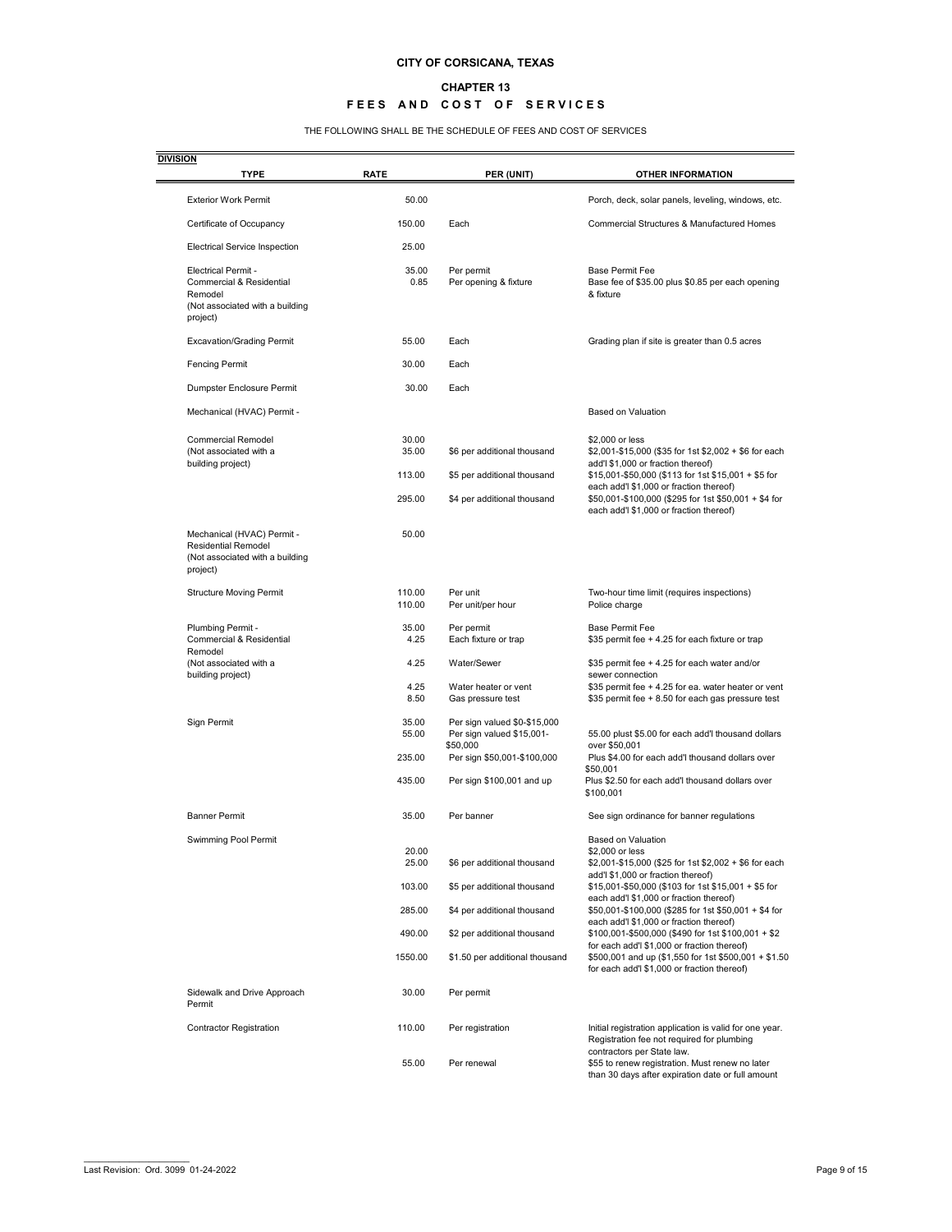#### **CHAPTER 13**

### **FEES AND COST OF SERVICES**

#### THE FOLLOWING SHALL BE THE SCHEDULE OF FEES AND COST OF SERVICES

| <b>DIVISION</b><br><b>TYPE</b>                                                                                              | <b>RATE</b>              | PER (UNIT)                                                            | <b>OTHER INFORMATION</b>                                                                                                                                              |
|-----------------------------------------------------------------------------------------------------------------------------|--------------------------|-----------------------------------------------------------------------|-----------------------------------------------------------------------------------------------------------------------------------------------------------------------|
| <b>Exterior Work Permit</b>                                                                                                 | 50.00                    |                                                                       | Porch, deck, solar panels, leveling, windows, etc.                                                                                                                    |
| Certificate of Occupancy                                                                                                    | 150.00                   | Each                                                                  | <b>Commercial Structures &amp; Manufactured Homes</b>                                                                                                                 |
| <b>Electrical Service Inspection</b>                                                                                        | 25.00                    |                                                                       |                                                                                                                                                                       |
| <b>Electrical Permit -</b><br><b>Commercial &amp; Residential</b><br>Remodel<br>(Not associated with a building<br>project) | 35.00<br>0.85            | Per permit<br>Per opening & fixture                                   | <b>Base Permit Fee</b><br>Base fee of \$35.00 plus \$0.85 per each opening<br>& fixture                                                                               |
| <b>Excavation/Grading Permit</b>                                                                                            | 55.00                    | Each                                                                  | Grading plan if site is greater than 0.5 acres                                                                                                                        |
| <b>Fencing Permit</b>                                                                                                       | 30.00                    | Each                                                                  |                                                                                                                                                                       |
| Dumpster Enclosure Permit                                                                                                   | 30.00                    | Each                                                                  |                                                                                                                                                                       |
| Mechanical (HVAC) Permit -                                                                                                  |                          |                                                                       | <b>Based on Valuation</b>                                                                                                                                             |
| <b>Commercial Remodel</b><br>(Not associated with a<br>building project)                                                    | 30.00<br>35.00<br>113.00 | \$6 per additional thousand<br>\$5 per additional thousand            | \$2,000 or less<br>\$2,001-\$15,000 (\$35 for 1st \$2,002 + \$6 for each<br>add'l \$1,000 or fraction thereof)<br>\$15,001-\$50,000 (\$113 for 1st \$15,001 + \$5 for |
|                                                                                                                             | 295.00                   | \$4 per additional thousand                                           | each add'l \$1,000 or fraction thereof)<br>\$50,001-\$100,000 (\$295 for 1st \$50,001 + \$4 for<br>each add'l \$1,000 or fraction thereof)                            |
| Mechanical (HVAC) Permit -<br><b>Residential Remodel</b><br>(Not associated with a building<br>project)                     | 50.00                    |                                                                       |                                                                                                                                                                       |
| <b>Structure Moving Permit</b>                                                                                              | 110.00<br>110.00         | Per unit<br>Per unit/per hour                                         | Two-hour time limit (requires inspections)<br>Police charge                                                                                                           |
| Plumbing Permit -<br><b>Commercial &amp; Residential</b><br>Remodel                                                         | 35.00<br>4.25            | Per permit<br>Each fixture or trap                                    | <b>Base Permit Fee</b><br>\$35 permit fee + 4.25 for each fixture or trap                                                                                             |
| (Not associated with a<br>building project)                                                                                 | 4.25                     | Water/Sewer                                                           | \$35 permit fee + 4.25 for each water and/or<br>sewer connection                                                                                                      |
|                                                                                                                             | 4.25<br>8.50             | Water heater or vent<br>Gas pressure test                             | \$35 permit fee + 4.25 for ea. water heater or vent<br>\$35 permit fee + 8.50 for each gas pressure test                                                              |
| Sign Permit                                                                                                                 | 35.00<br>55.00           | Per sign valued \$0-\$15,000<br>Per sign valued \$15,001-<br>\$50,000 | 55.00 plust \$5.00 for each add'l thousand dollars<br>over \$50,001                                                                                                   |
|                                                                                                                             | 235.00<br>435.00         | Per sign \$50,001-\$100,000<br>Per sign \$100,001 and up              | Plus \$4.00 for each add'I thousand dollars over<br>\$50.001<br>Plus \$2.50 for each add'l thousand dollars over                                                      |
|                                                                                                                             |                          |                                                                       | \$100,001                                                                                                                                                             |
| <b>Banner Permit</b>                                                                                                        | 35.00                    | Per banner                                                            | See sign ordinance for banner regulations                                                                                                                             |
| Swimming Pool Permit                                                                                                        | 20.00<br>25.00           | \$6 per additional thousand                                           | <b>Based on Valuation</b><br>\$2,000 or less<br>\$2,001-\$15,000 (\$25 for 1st \$2,002 + \$6 for each                                                                 |
|                                                                                                                             | 103.00                   | \$5 per additional thousand                                           | add'l \$1,000 or fraction thereof)<br>\$15,001-\$50,000 (\$103 for 1st \$15,001 + \$5 for                                                                             |
|                                                                                                                             | 285.00                   | \$4 per additional thousand                                           | each add'l \$1,000 or fraction thereof)<br>\$50,001-\$100,000 (\$285 for 1st \$50,001 + \$4 for                                                                       |
|                                                                                                                             | 490.00                   | \$2 per additional thousand                                           | each add'l \$1,000 or fraction thereof)<br>\$100,001-\$500,000 (\$490 for 1st \$100,001 + \$2                                                                         |
|                                                                                                                             | 1550.00                  | \$1.50 per additional thousand                                        | for each add'l \$1,000 or fraction thereof)<br>\$500,001 and up (\$1,550 for 1st \$500,001 + \$1.50<br>for each add'l \$1,000 or fraction thereof)                    |
| Sidewalk and Drive Approach<br>Permit                                                                                       | 30.00                    | Per permit                                                            |                                                                                                                                                                       |
| <b>Contractor Registration</b>                                                                                              | 110.00                   | Per registration                                                      | Initial registration application is valid for one year.<br>Registration fee not required for plumbing                                                                 |
|                                                                                                                             | 55.00                    | Per renewal                                                           | contractors per State law.<br>\$55 to renew registration. Must renew no later<br>than 30 days after expiration date or full amount                                    |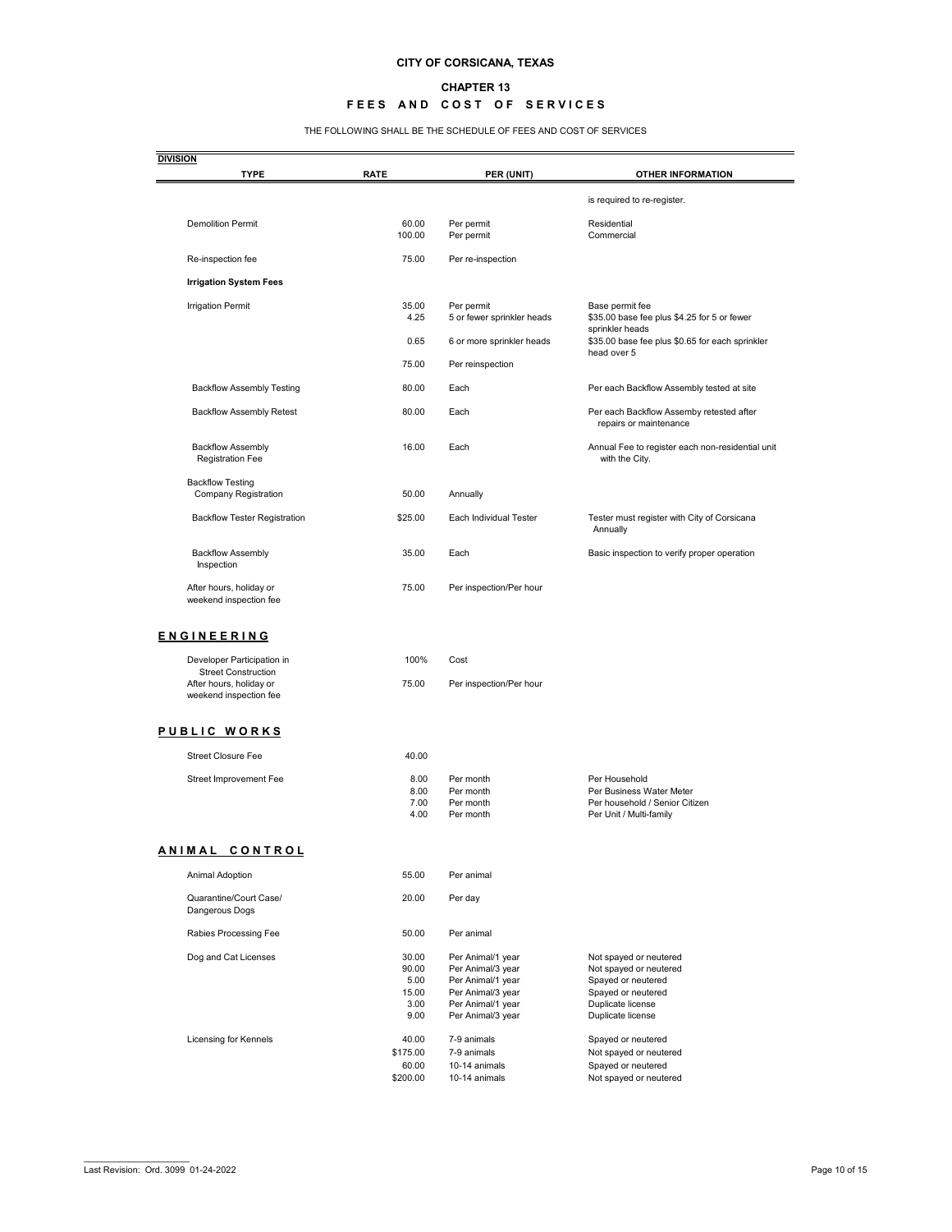#### **CHAPTER 13**

### **FEES AND COST OF SERVICES**

THE FOLLOWING SHALL BE THE SCHEDULE OF FEES AND COST OF SERVICES

| <b>DIVISION</b><br><b>TYPE</b>                           | <b>RATE</b>                                     | PER (UNIT)                                                                                                                 | <b>OTHER INFORMATION</b>                                                                                                               |
|----------------------------------------------------------|-------------------------------------------------|----------------------------------------------------------------------------------------------------------------------------|----------------------------------------------------------------------------------------------------------------------------------------|
|                                                          |                                                 |                                                                                                                            | is required to re-register.                                                                                                            |
| <b>Demolition Permit</b>                                 | 60.00<br>100.00                                 | Per permit<br>Per permit                                                                                                   | Residential<br>Commercial                                                                                                              |
| Re-inspection fee                                        | 75.00                                           | Per re-inspection                                                                                                          |                                                                                                                                        |
| <b>Irrigation System Fees</b>                            |                                                 |                                                                                                                            |                                                                                                                                        |
| <b>Irrigation Permit</b>                                 | 35.00<br>4.25                                   | Per permit<br>5 or fewer sprinkler heads                                                                                   | Base permit fee<br>\$35.00 base fee plus \$4.25 for 5 or fewer                                                                         |
|                                                          | 0.65                                            | 6 or more sprinkler heads                                                                                                  | sprinkler heads<br>\$35.00 base fee plus \$0.65 for each sprinkler                                                                     |
|                                                          | 75.00                                           | Per reinspection                                                                                                           | head over 5                                                                                                                            |
| <b>Backflow Assembly Testing</b>                         | 80.00                                           | Each                                                                                                                       | Per each Backflow Assembly tested at site                                                                                              |
| <b>Backflow Assembly Retest</b>                          | 80.00                                           | Each                                                                                                                       | Per each Backflow Assemby retested after<br>repairs or maintenance                                                                     |
| <b>Backflow Assembly</b><br><b>Registration Fee</b>      | 16.00                                           | Each                                                                                                                       | Annual Fee to register each non-residential unit<br>with the City.                                                                     |
| <b>Backflow Testing</b><br><b>Company Registration</b>   | 50.00                                           | Annually                                                                                                                   |                                                                                                                                        |
| <b>Backflow Tester Registration</b>                      | \$25.00                                         | Each Individual Tester                                                                                                     | Tester must register with City of Corsicana<br>Annually                                                                                |
| <b>Backflow Assembly</b><br>Inspection                   | 35.00                                           | Each                                                                                                                       | Basic inspection to verify proper operation                                                                                            |
| After hours, holiday or<br>weekend inspection fee        | 75.00                                           | Per inspection/Per hour                                                                                                    |                                                                                                                                        |
| <b>ENGINEERING</b>                                       |                                                 |                                                                                                                            |                                                                                                                                        |
| Developer Participation in<br><b>Street Construction</b> | 100%                                            | Cost                                                                                                                       |                                                                                                                                        |
| After hours, holiday or<br>weekend inspection fee        | 75.00                                           | Per inspection/Per hour                                                                                                    |                                                                                                                                        |
| PUBLIC WORKS                                             |                                                 |                                                                                                                            |                                                                                                                                        |
| <b>Street Closure Fee</b>                                | 40.00                                           |                                                                                                                            |                                                                                                                                        |
| Street Improvement Fee                                   | 8.00<br>8.00<br>7.00<br>4.00                    | Per month<br>Per month<br>Per month<br>Per month                                                                           | Per Household<br>Per Business Water Meter<br>Per household / Senior Citizen<br>Per Unit / Multi-family                                 |
| ANIMAL CONTROL                                           |                                                 |                                                                                                                            |                                                                                                                                        |
| Animal Adoption                                          | 55.00                                           | Per animal                                                                                                                 |                                                                                                                                        |
| Quarantine/Court Case/<br>Dangerous Dogs                 | 20.00                                           | Per day                                                                                                                    |                                                                                                                                        |
| Rabies Processing Fee                                    | 50.00                                           | Per animal                                                                                                                 |                                                                                                                                        |
| Dog and Cat Licenses                                     | 30.00<br>90.00<br>5.00<br>15.00<br>3.00<br>9.00 | Per Animal/1 year<br>Per Animal/3 year<br>Per Animal/1 year<br>Per Animal/3 year<br>Per Animal/1 year<br>Per Animal/3 year | Not spayed or neutered<br>Not spayed or neutered<br>Spayed or neutered<br>Spayed or neutered<br>Duplicate license<br>Duplicate license |
| Licensing for Kennels                                    | 40.00<br>\$175.00<br>60.00<br>\$200.00          | 7-9 animals<br>7-9 animals<br>10-14 animals<br>10-14 animals                                                               | Spayed or neutered<br>Not spayed or neutered<br>Spayed or neutered<br>Not spayed or neutered                                           |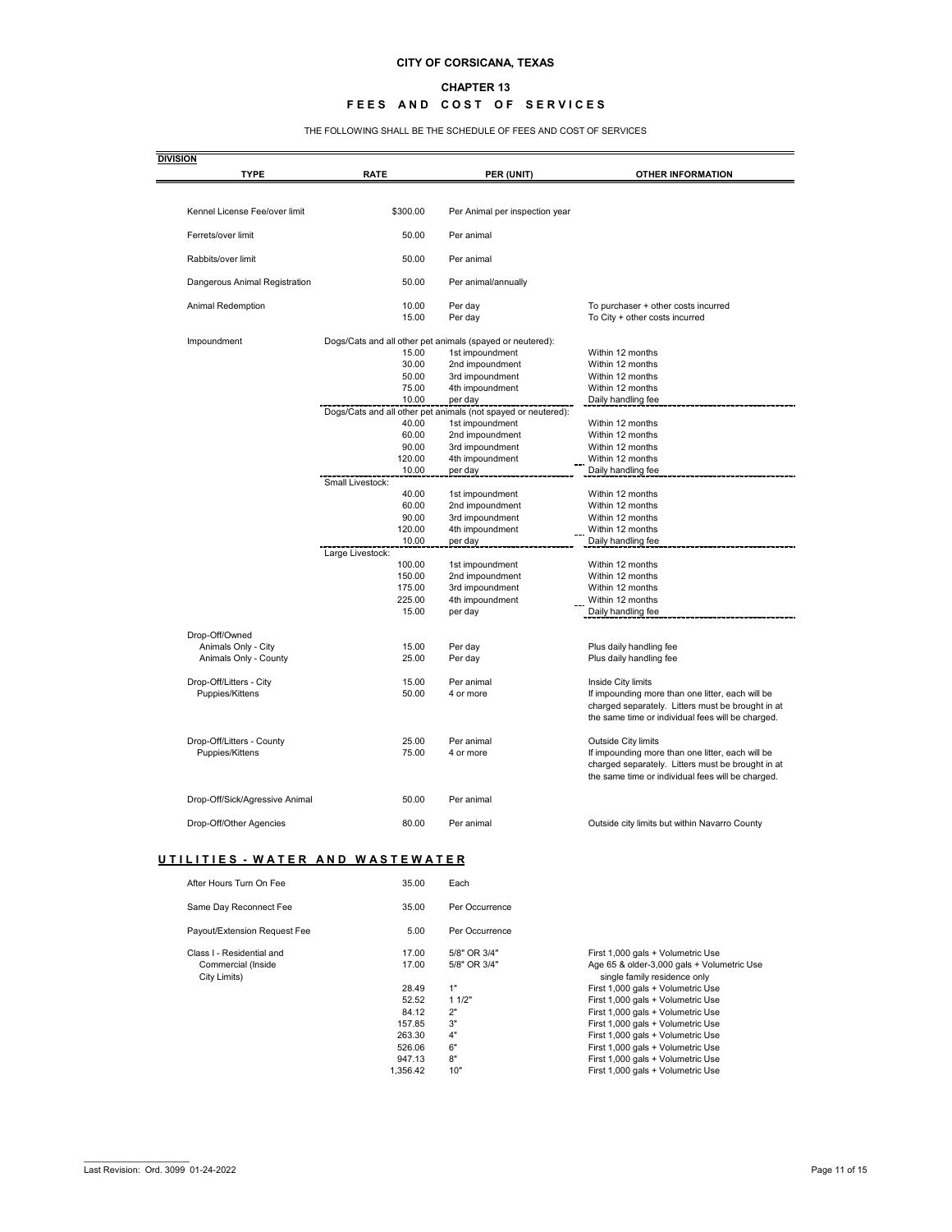#### **CHAPTER 13**

### **FEES AND COST OF SERVICES**

THE FOLLOWING SHALL BE THE SCHEDULE OF FEES AND COST OF SERVICES

| <b>DIVISION</b><br><b>TYPE</b>           | <b>RATE</b>               | PER (UNIT)                                                    | <b>OTHER INFORMATION</b>                                                                               |
|------------------------------------------|---------------------------|---------------------------------------------------------------|--------------------------------------------------------------------------------------------------------|
| Kennel License Fee/over limit            | \$300.00                  | Per Animal per inspection year                                |                                                                                                        |
| Ferrets/over limit                       | 50.00                     | Per animal                                                    |                                                                                                        |
|                                          |                           |                                                               |                                                                                                        |
| Rabbits/over limit                       | 50.00                     | Per animal                                                    |                                                                                                        |
| Dangerous Animal Registration            | 50.00                     | Per animal/annually                                           |                                                                                                        |
| Animal Redemption                        | 10.00<br>15.00            | Per day<br>Per day                                            | To purchaser + other costs incurred<br>To City + other costs incurred                                  |
| Impoundment                              |                           | Dogs/Cats and all other pet animals (spayed or neutered):     |                                                                                                        |
|                                          | 15.00                     | 1st impoundment                                               | Within 12 months                                                                                       |
|                                          | 30.00                     | 2nd impoundment                                               | Within 12 months                                                                                       |
|                                          | 50.00                     | 3rd impoundment                                               | Within 12 months                                                                                       |
|                                          | 75.00<br>10.00            | 4th impoundment<br>per day                                    | Within 12 months<br>Daily handling fee                                                                 |
|                                          |                           | Dogs/Cats and all other pet animals (not spayed or neutered): |                                                                                                        |
|                                          | 40.00                     | 1st impoundment                                               | Within 12 months                                                                                       |
|                                          | 60.00                     | 2nd impoundment                                               | Within 12 months                                                                                       |
|                                          | 90.00                     | 3rd impoundment                                               | Within 12 months                                                                                       |
|                                          | 120.00                    | 4th impoundment                                               | Within 12 months                                                                                       |
|                                          | 10.00<br>Small Livestock: | per day                                                       | Daily handling fee                                                                                     |
|                                          | 40.00                     | 1st impoundment                                               | Within 12 months                                                                                       |
|                                          | 60.00                     | 2nd impoundment                                               | Within 12 months                                                                                       |
|                                          | 90.00                     | 3rd impoundment                                               | Within 12 months                                                                                       |
|                                          | 120.00                    | 4th impoundment                                               | Within 12 months                                                                                       |
|                                          | 10.00                     | per day                                                       | Daily handling fee                                                                                     |
|                                          | Large Livestock:          |                                                               |                                                                                                        |
|                                          | 100.00<br>150.00          | 1st impoundment<br>2nd impoundment                            | Within 12 months<br>Within 12 months                                                                   |
|                                          | 175.00                    | 3rd impoundment                                               | Within 12 months                                                                                       |
|                                          | 225.00                    | 4th impoundment                                               | Within 12 months                                                                                       |
|                                          | 15.00                     | per day                                                       | Daily handling fee                                                                                     |
|                                          |                           |                                                               |                                                                                                        |
| Drop-Off/Owned<br>Animals Only - City    | 15.00                     | Per day                                                       | Plus daily handling fee                                                                                |
| Animals Only - County                    | 25.00                     | Per day                                                       | Plus daily handling fee                                                                                |
|                                          |                           |                                                               |                                                                                                        |
| Drop-Off/Litters - City                  | 15.00                     | Per animal                                                    | Inside City limits                                                                                     |
| Puppies/Kittens                          | 50.00                     | 4 or more                                                     | If impounding more than one litter, each will be                                                       |
|                                          |                           |                                                               | charged separately. Litters must be brought in at<br>the same time or individual fees will be charged. |
|                                          |                           |                                                               |                                                                                                        |
| Drop-Off/Litters - County                | 25.00                     | Per animal                                                    | Outside City limits                                                                                    |
| Puppies/Kittens                          | 75.00                     | 4 or more                                                     | If impounding more than one litter, each will be                                                       |
|                                          |                           |                                                               | charged separately. Litters must be brought in at                                                      |
|                                          |                           |                                                               | the same time or individual fees will be charged.                                                      |
| Drop-Off/Sick/Agressive Animal           | 50.00                     | Per animal                                                    |                                                                                                        |
| Drop-Off/Other Agencies                  | 80.00                     | Per animal                                                    | Outside city limits but within Navarro County                                                          |
|                                          |                           |                                                               |                                                                                                        |
| <u> UTILITIES - WATER AND WASTEWATER</u> |                           |                                                               |                                                                                                        |
| After Hours Turn On Fee                  | 35.00                     | Each                                                          |                                                                                                        |
| Same Day Reconnect Fee                   | 35.00                     | Per Occurrence                                                |                                                                                                        |
| Payout/Extension Request Fee             | 5.00                      | Per Occurrence                                                |                                                                                                        |
| Class I - Residential and                | 17.00                     | 5/8" OR 3/4"                                                  | First 1,000 gals + Volumetric Use                                                                      |
| Commercial (Inside                       | 17.00                     | 5/8" OR 3/4"                                                  | Age 65 & older-3,000 gals + Volumetric Use                                                             |
| City Limits)                             |                           |                                                               | single family residence only                                                                           |
|                                          | 28.49                     | 1"                                                            | First 1,000 gals + Volumetric Use                                                                      |
|                                          | 52.52                     | 11/2"                                                         | First 1,000 gals + Volumetric Use                                                                      |
|                                          | 84.12<br>157.85           | 2"<br>3"                                                      | First 1,000 gals + Volumetric Use<br>First 1,000 gals + Volumetric Use                                 |
|                                          | 263.30                    | 4"                                                            | First 1,000 gals + Volumetric Use                                                                      |
|                                          | 526.06                    | 6"                                                            | First 1,000 gals + Volumetric Use                                                                      |
|                                          | 947.13                    | $8"$                                                          | First 1,000 gals + Volumetric Use                                                                      |
|                                          | 1,356.42                  | 10"                                                           | First 1,000 gals + Volumetric Use                                                                      |
|                                          |                           |                                                               |                                                                                                        |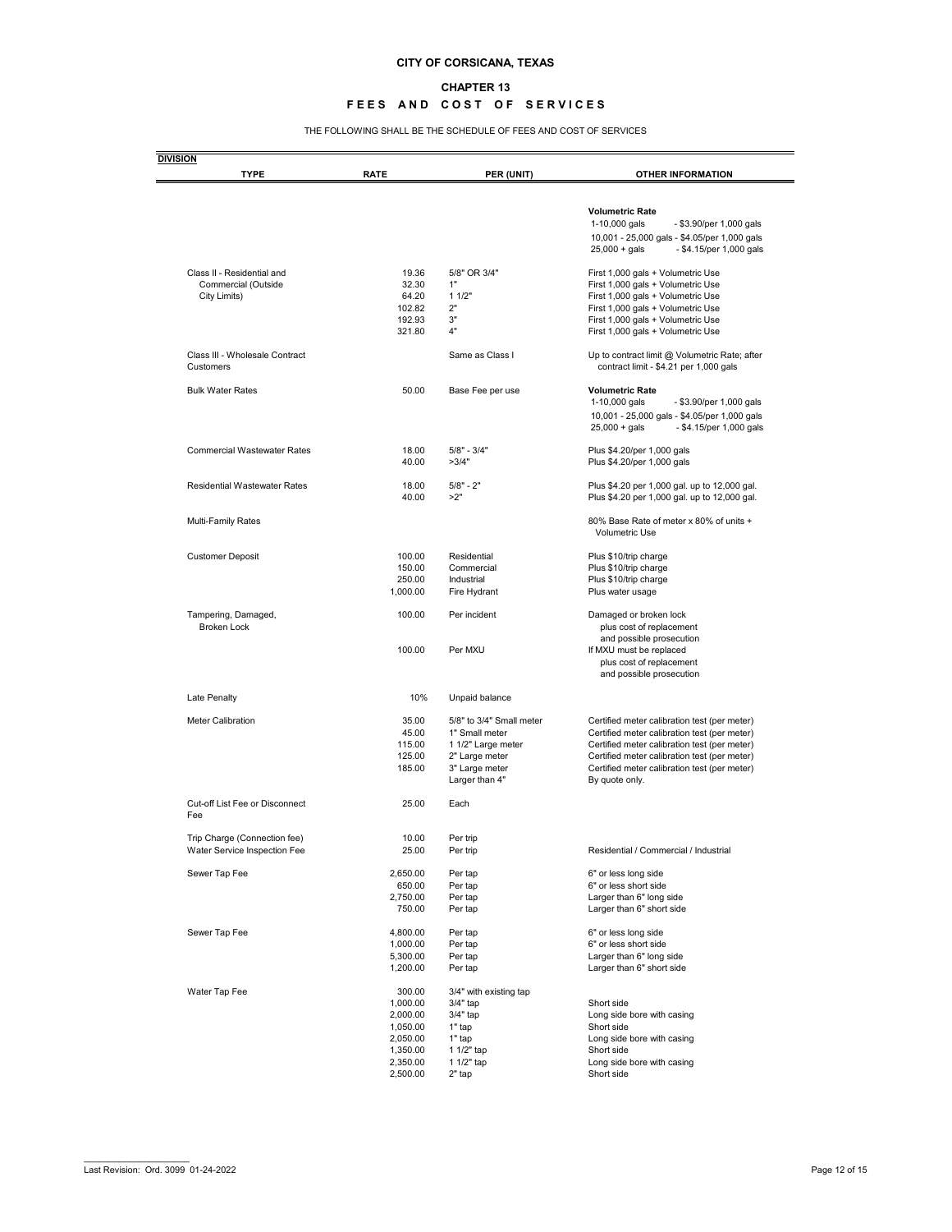#### **CHAPTER 13**

### **FEES AND COST OF SERVICES**

THE FOLLOWING SHALL BE THE SCHEDULE OF FEES AND COST OF SERVICES

| <b>TYPE</b>                                 | <b>RATE</b>          | PER (UNIT)                       | <b>OTHER INFORMATION</b>                                                                   |
|---------------------------------------------|----------------------|----------------------------------|--------------------------------------------------------------------------------------------|
|                                             |                      |                                  |                                                                                            |
|                                             |                      |                                  | <b>Volumetric Rate</b>                                                                     |
|                                             |                      |                                  | 1-10,000 gals<br>- \$3.90/per 1,000 gals                                                   |
|                                             |                      |                                  | 10,001 - 25,000 gals - \$4.05/per 1,000 gals<br>$25,000 +$ gals<br>- \$4.15/per 1,000 gals |
| Class II - Residential and                  | 19.36                | 5/8" OR 3/4"                     | First 1,000 gals + Volumetric Use                                                          |
| Commercial (Outside                         | 32.30                | 1"                               | First 1,000 gals + Volumetric Use                                                          |
| City Limits)                                | 64.20                | 11/2"                            | First 1,000 gals + Volumetric Use                                                          |
|                                             | 102.82<br>192.93     | 2"<br>3"                         | First 1,000 gals + Volumetric Use<br>First 1,000 gals + Volumetric Use                     |
|                                             | 321.80               | 4"                               | First 1,000 gals + Volumetric Use                                                          |
| Class III - Wholesale Contract<br>Customers |                      | Same as Class I                  | Up to contract limit @ Volumetric Rate; after<br>contract limit - \$4.21 per 1,000 gals    |
| <b>Bulk Water Rates</b>                     | 50.00                | Base Fee per use                 | <b>Volumetric Rate</b><br>1-10,000 gals<br>- \$3.90/per 1,000 gals                         |
|                                             |                      |                                  |                                                                                            |
|                                             |                      |                                  | 10,001 - 25,000 gals - \$4.05/per 1,000 gals<br>$25,000 + gals$<br>- \$4.15/per 1,000 gals |
| <b>Commercial Wastewater Rates</b>          | 18.00                | $5/8" - 3/4"$                    | Plus \$4.20/per 1,000 gals                                                                 |
|                                             | 40.00                | >3/4"                            | Plus \$4.20/per 1,000 gals                                                                 |
| <b>Residential Wastewater Rates</b>         | 18.00                | $5/8" - 2"$                      | Plus \$4.20 per 1,000 gal. up to 12,000 gal.                                               |
|                                             | 40.00                | >2"                              | Plus \$4.20 per 1,000 gal. up to 12,000 gal.                                               |
| Multi-Family Rates                          |                      |                                  | 80% Base Rate of meter x 80% of units +<br><b>Volumetric Use</b>                           |
| <b>Customer Deposit</b>                     | 100.00               | Residential                      | Plus \$10/trip charge                                                                      |
|                                             | 150.00               | Commercial                       | Plus \$10/trip charge                                                                      |
|                                             | 250.00               | Industrial                       | Plus \$10/trip charge                                                                      |
|                                             | 1,000.00             | Fire Hydrant                     | Plus water usage                                                                           |
| Tampering, Damaged,<br><b>Broken Lock</b>   | 100.00               | Per incident                     | Damaged or broken lock<br>plus cost of replacement                                         |
|                                             |                      |                                  | and possible prosecution                                                                   |
|                                             | 100.00               | Per MXU                          | If MXU must be replaced<br>plus cost of replacement                                        |
|                                             |                      |                                  | and possible prosecution                                                                   |
| Late Penalty                                | 10%                  | Unpaid balance                   |                                                                                            |
| <b>Meter Calibration</b>                    | 35.00                | 5/8" to 3/4" Small meter         | Certified meter calibration test (per meter)                                               |
|                                             | 45.00                | 1" Small meter                   | Certified meter calibration test (per meter)                                               |
|                                             | 115.00               | 1 1/2" Large meter               | Certified meter calibration test (per meter)                                               |
|                                             | 125.00               | 2" Large meter                   | Certified meter calibration test (per meter)                                               |
|                                             | 185.00               | 3" Large meter<br>Larger than 4" | Certified meter calibration test (per meter)<br>By quote only.                             |
| <b>Cut-off List Fee or Disconnect</b>       | 25.00                | Each                             |                                                                                            |
| Fee                                         |                      |                                  |                                                                                            |
| Trip Charge (Connection fee)                | 10.00                | Per trip                         |                                                                                            |
| Water Service Inspection Fee                | 25.00                | Per trip                         | Residential / Commercial / Industrial                                                      |
| Sewer Tap Fee                               | 2,650.00             | Per tap                          | 6" or less long side                                                                       |
|                                             | 650.00               | Per tap                          | 6" or less short side                                                                      |
|                                             | 2,750.00<br>750.00   | Per tap<br>Per tap               | Larger than 6" long side<br>Larger than 6" short side                                      |
| Sewer Tap Fee                               | 4,800.00             | Per tap                          | 6" or less long side                                                                       |
|                                             | 1,000.00             | Per tap                          | 6" or less short side                                                                      |
|                                             | 5,300.00             | Per tap                          | Larger than 6" long side                                                                   |
|                                             | 1,200.00             | Per tap                          | Larger than 6" short side                                                                  |
| Water Tap Fee                               | 300.00               | 3/4" with existing tap           |                                                                                            |
|                                             | 1,000.00             | 3/4" tap                         | Short side                                                                                 |
|                                             | 2,000.00             | 3/4" tap                         | Long side bore with casing                                                                 |
|                                             | 1,050.00             | 1" tap                           | Short side                                                                                 |
|                                             | 2,050.00<br>1,350.00 | 1" tap<br>1 1/2" tap             | Long side bore with casing<br>Short side                                                   |
|                                             | 2,350.00             | 1 1/2" tap                       | Long side bore with casing                                                                 |
|                                             | 2,500.00             | 2" tap                           | Short side                                                                                 |
|                                             |                      |                                  |                                                                                            |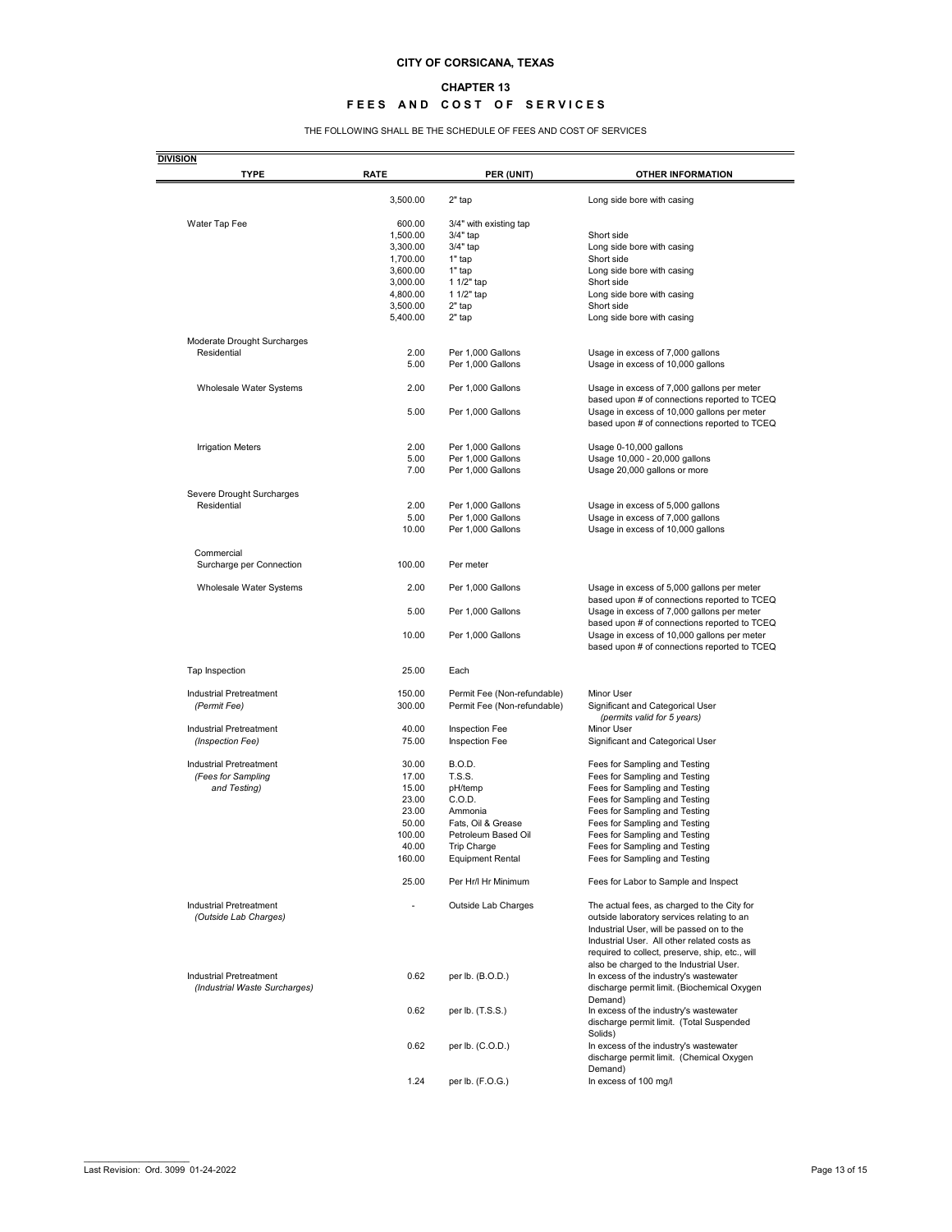#### **CHAPTER 13**

## **FEES AND COST OF SERVICES**

THE FOLLOWING SHALL BE THE SCHEDULE OF FEES AND COST OF SERVICES

| <b>TYPE</b>                                              | <b>RATE</b>     | PER (UNIT)                             | <b>OTHER INFORMATION</b>                                                                                                                  |
|----------------------------------------------------------|-----------------|----------------------------------------|-------------------------------------------------------------------------------------------------------------------------------------------|
|                                                          | 3,500.00        | $2"$ tap                               | Long side bore with casing                                                                                                                |
| Water Tap Fee                                            | 600.00          | 3/4" with existing tap                 |                                                                                                                                           |
|                                                          | 1,500.00        | 3/4" tap                               | Short side                                                                                                                                |
|                                                          |                 |                                        |                                                                                                                                           |
|                                                          | 3,300.00        | 3/4" tap                               | Long side bore with casing                                                                                                                |
|                                                          | 1,700.00        | 1" tap                                 | Short side                                                                                                                                |
|                                                          | 3,600.00        | $1"$ tap                               | Long side bore with casing                                                                                                                |
|                                                          | 3,000.00        | 1 1/2" tap                             | Short side                                                                                                                                |
|                                                          | 4,800.00        | 1 1/2" tap                             | Long side bore with casing                                                                                                                |
|                                                          | 3,500.00        | $2"$ tap                               | Short side                                                                                                                                |
|                                                          | 5,400.00        | $2"$ tap                               | Long side bore with casing                                                                                                                |
| Moderate Drought Surcharges                              |                 |                                        |                                                                                                                                           |
| Residential                                              | 2.00            | Per 1,000 Gallons                      | Usage in excess of 7,000 gallons                                                                                                          |
|                                                          | 5.00            | Per 1,000 Gallons                      | Usage in excess of 10,000 gallons                                                                                                         |
| Wholesale Water Systems                                  | 2.00            | Per 1,000 Gallons                      | Usage in excess of 7,000 gallons per meter                                                                                                |
|                                                          |                 |                                        | based upon # of connections reported to TCEQ                                                                                              |
|                                                          | 5.00            | Per 1,000 Gallons                      | Usage in excess of 10,000 gallons per meter<br>based upon # of connections reported to TCEQ                                               |
|                                                          |                 |                                        |                                                                                                                                           |
| <b>Irrigation Meters</b>                                 | 2.00            | Per 1,000 Gallons                      | Usage 0-10,000 gallons                                                                                                                    |
|                                                          | 5.00            | Per 1,000 Gallons                      | Usage 10,000 - 20,000 gallons                                                                                                             |
|                                                          | 7.00            | Per 1,000 Gallons                      | Usage 20,000 gallons or more                                                                                                              |
| Severe Drought Surcharges                                |                 |                                        |                                                                                                                                           |
| Residential                                              | 2.00            | Per 1,000 Gallons                      |                                                                                                                                           |
|                                                          |                 |                                        | Usage in excess of 5,000 gallons                                                                                                          |
|                                                          | 5.00            | Per 1,000 Gallons                      | Usage in excess of 7,000 gallons                                                                                                          |
|                                                          | 10.00           | Per 1,000 Gallons                      | Usage in excess of 10,000 gallons                                                                                                         |
| Commercial                                               |                 |                                        |                                                                                                                                           |
| Surcharge per Connection                                 | 100.00          | Per meter                              |                                                                                                                                           |
| Wholesale Water Systems                                  | 2.00            | Per 1,000 Gallons                      | Usage in excess of 5,000 gallons per meter<br>based upon # of connections reported to TCEQ                                                |
|                                                          | 5.00            | Per 1,000 Gallons                      | Usage in excess of 7,000 gallons per meter<br>based upon # of connections reported to TCEQ                                                |
|                                                          | 10.00           | Per 1,000 Gallons                      | Usage in excess of 10,000 gallons per meter<br>based upon # of connections reported to TCEQ                                               |
| Tap Inspection                                           | 25.00           | Each                                   |                                                                                                                                           |
| Industrial Pretreatment                                  | 150.00          | Permit Fee (Non-refundable)            | Minor User                                                                                                                                |
| (Permit Fee)                                             | 300.00          | Permit Fee (Non-refundable)            | Significant and Categorical User<br>(permits valid for 5 years)                                                                           |
| <b>Industrial Pretreatment</b>                           | 40.00           | Inspection Fee                         | Minor User                                                                                                                                |
|                                                          |                 |                                        |                                                                                                                                           |
| (Inspection Fee)                                         | 75.00           | Inspection Fee                         | Significant and Categorical User                                                                                                          |
| Industrial Pretreatment                                  | 30.00           | <b>B.O.D.</b>                          | Fees for Sampling and Testing                                                                                                             |
| (Fees for Sampling                                       | 17.00           | <b>T.S.S.</b>                          | Fees for Sampling and Testing                                                                                                             |
| and Testing)                                             | 15.00           | pH/temp                                | Fees for Sampling and Testing                                                                                                             |
|                                                          | 23.00           | C.O.D.                                 | Fees for Sampling and Testing                                                                                                             |
|                                                          | 23.00           | Ammonia                                | Fees for Sampling and Testing                                                                                                             |
|                                                          | 50.00           | Fats, Oil & Grease                     | Fees for Sampling and Testing                                                                                                             |
|                                                          | 100.00          | Petroleum Based Oil                    |                                                                                                                                           |
|                                                          |                 |                                        | Fees for Sampling and Testing                                                                                                             |
|                                                          | 40.00<br>160.00 | Trip Charge<br><b>Equipment Rental</b> | Fees for Sampling and Testing<br>Fees for Sampling and Testing                                                                            |
|                                                          |                 |                                        |                                                                                                                                           |
|                                                          | 25.00           | Per Hr/I Hr Minimum                    | Fees for Labor to Sample and Inspect                                                                                                      |
| Industrial Pretreatment<br>(Outside Lab Charges)         |                 | Outside Lab Charges                    | The actual fees, as charged to the City for<br>outside laboratory services relating to an<br>Industrial User, will be passed on to the    |
|                                                          |                 |                                        | Industrial User. All other related costs as<br>required to collect, preserve, ship, etc., will<br>also be charged to the Industrial User. |
| Industrial Pretreatment<br>(Industrial Waste Surcharges) | 0.62            | per lb. (B.O.D.)                       | In excess of the industry's wastewater<br>discharge permit limit. (Biochemical Oxygen<br>Demand)                                          |
|                                                          | 0.62            | per lb. (T.S.S.)                       | In excess of the industry's wastewater<br>discharge permit limit. (Total Suspended<br>Solids)                                             |
|                                                          | 0.62            | per lb. (C.O.D.)                       | In excess of the industry's wastewater<br>discharge permit limit. (Chemical Oxygen<br>Demand)                                             |
|                                                          | 1.24            | per lb. (F.O.G.)                       | In excess of 100 mg/l                                                                                                                     |
|                                                          |                 |                                        |                                                                                                                                           |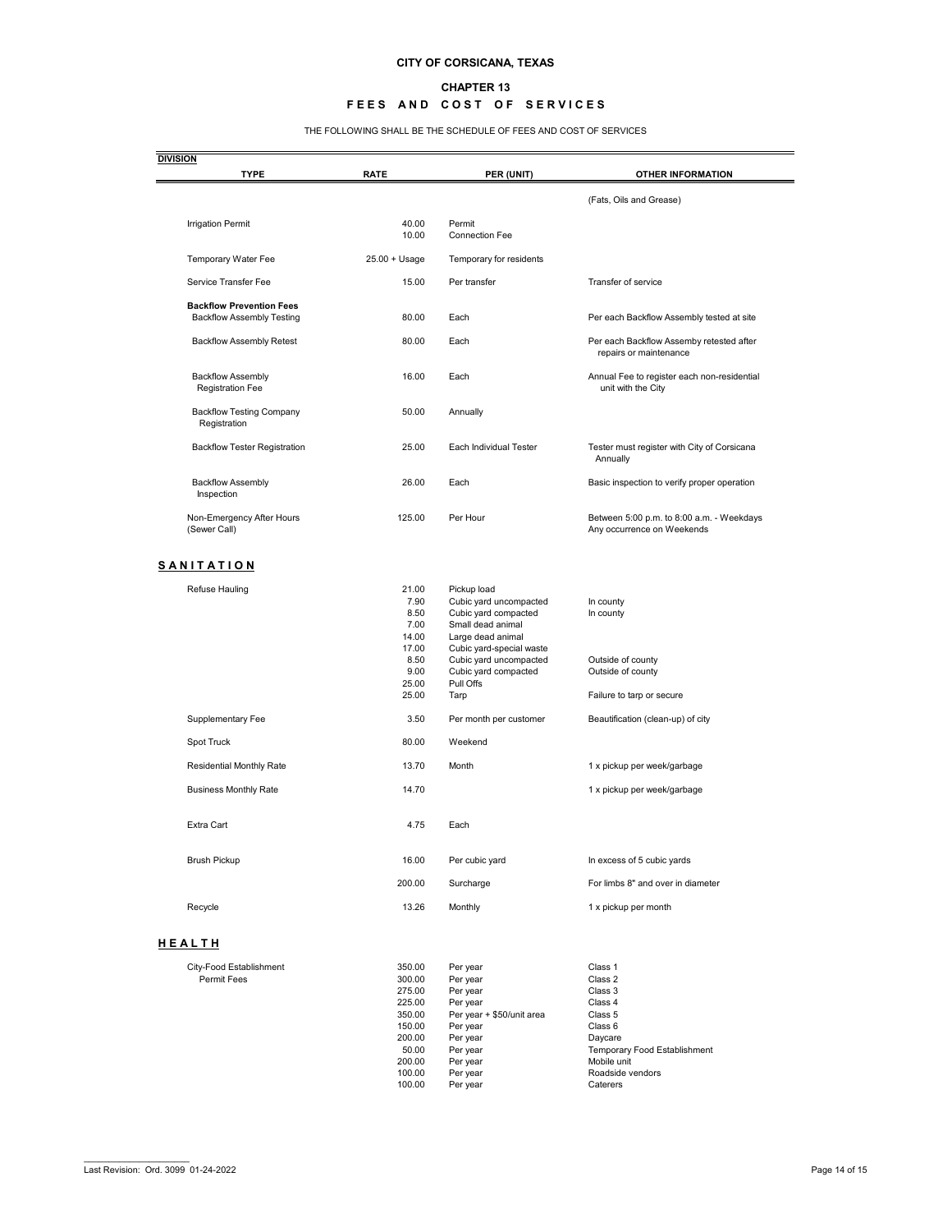#### **CHAPTER 13**

### **FEES AND COST OF SERVICES**

THE FOLLOWING SHALL BE THE SCHEDULE OF FEES AND COST OF SERVICES

| (Fats, Oils and Grease)<br>Transfer of service<br>Per each Backflow Assembly tested at site<br>Per each Backflow Assemby retested after<br>repairs or maintenance<br>Annual Fee to register each non-residential<br>unit with the City<br>Tester must register with City of Corsicana<br>Annually<br>Basic inspection to verify proper operation<br>Between 5:00 p.m. to 8:00 a.m. - Weekdays<br>Any occurrence on Weekends<br>In county<br>In county<br>Outside of county<br>Outside of county |
|-------------------------------------------------------------------------------------------------------------------------------------------------------------------------------------------------------------------------------------------------------------------------------------------------------------------------------------------------------------------------------------------------------------------------------------------------------------------------------------------------|
|                                                                                                                                                                                                                                                                                                                                                                                                                                                                                                 |
|                                                                                                                                                                                                                                                                                                                                                                                                                                                                                                 |
|                                                                                                                                                                                                                                                                                                                                                                                                                                                                                                 |
|                                                                                                                                                                                                                                                                                                                                                                                                                                                                                                 |
|                                                                                                                                                                                                                                                                                                                                                                                                                                                                                                 |
|                                                                                                                                                                                                                                                                                                                                                                                                                                                                                                 |
|                                                                                                                                                                                                                                                                                                                                                                                                                                                                                                 |
|                                                                                                                                                                                                                                                                                                                                                                                                                                                                                                 |
|                                                                                                                                                                                                                                                                                                                                                                                                                                                                                                 |
|                                                                                                                                                                                                                                                                                                                                                                                                                                                                                                 |
|                                                                                                                                                                                                                                                                                                                                                                                                                                                                                                 |
|                                                                                                                                                                                                                                                                                                                                                                                                                                                                                                 |
|                                                                                                                                                                                                                                                                                                                                                                                                                                                                                                 |
|                                                                                                                                                                                                                                                                                                                                                                                                                                                                                                 |
|                                                                                                                                                                                                                                                                                                                                                                                                                                                                                                 |
| Failure to tarp or secure                                                                                                                                                                                                                                                                                                                                                                                                                                                                       |
| Beautification (clean-up) of city                                                                                                                                                                                                                                                                                                                                                                                                                                                               |
|                                                                                                                                                                                                                                                                                                                                                                                                                                                                                                 |
| 1 x pickup per week/garbage                                                                                                                                                                                                                                                                                                                                                                                                                                                                     |
| 1 x pickup per week/garbage                                                                                                                                                                                                                                                                                                                                                                                                                                                                     |
|                                                                                                                                                                                                                                                                                                                                                                                                                                                                                                 |
| In excess of 5 cubic yards                                                                                                                                                                                                                                                                                                                                                                                                                                                                      |
| For limbs 8" and over in diameter                                                                                                                                                                                                                                                                                                                                                                                                                                                               |
| 1 x pickup per month                                                                                                                                                                                                                                                                                                                                                                                                                                                                            |
|                                                                                                                                                                                                                                                                                                                                                                                                                                                                                                 |
| Class 1                                                                                                                                                                                                                                                                                                                                                                                                                                                                                         |
| Class 2                                                                                                                                                                                                                                                                                                                                                                                                                                                                                         |
| Class 3                                                                                                                                                                                                                                                                                                                                                                                                                                                                                         |
| Class 4                                                                                                                                                                                                                                                                                                                                                                                                                                                                                         |
| Class 5                                                                                                                                                                                                                                                                                                                                                                                                                                                                                         |
| Class 6                                                                                                                                                                                                                                                                                                                                                                                                                                                                                         |
| Daycare<br>Temporary Food Establishment                                                                                                                                                                                                                                                                                                                                                                                                                                                         |
| Mobile unit                                                                                                                                                                                                                                                                                                                                                                                                                                                                                     |
|                                                                                                                                                                                                                                                                                                                                                                                                                                                                                                 |
| Roadside vendors                                                                                                                                                                                                                                                                                                                                                                                                                                                                                |
|                                                                                                                                                                                                                                                                                                                                                                                                                                                                                                 |